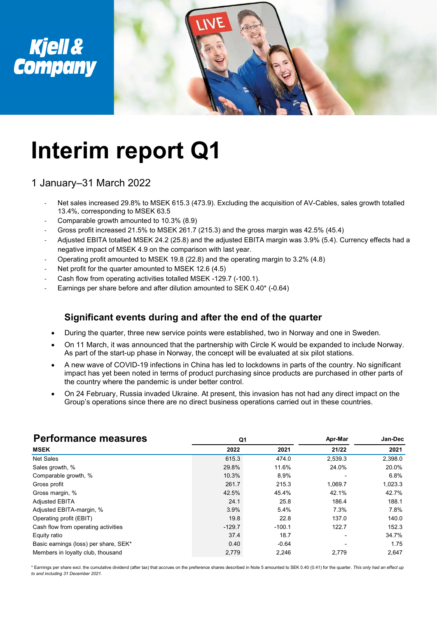

# Interim report Q1

## 1 January–31 March 2022

- Net sales increased 29.8% to MSEK 615.3 (473.9). Excluding the acquisition of AV-Cables, sales growth totalled 13.4%, corresponding to MSEK 63.5
- Comparable growth amounted to 10.3% (8.9)
- Gross profit increased 21.5% to MSEK 261.7 (215.3) and the gross margin was 42.5% (45.4)
- Adjusted EBITA totalled MSEK 24.2 (25.8) and the adjusted EBITA margin was 3.9% (5.4). Currency effects had a negative impact of MSEK 4.9 on the comparison with last year.
- Operating profit amounted to MSEK 19.8 (22.8) and the operating margin to 3.2% (4.8)
- Net profit for the quarter amounted to MSEK 12.6 (4.5)
- Cash flow from operating activities totalled MSEK -129.7 (-100.1).
- Earnings per share before and after dilution amounted to SEK 0.40\* (-0.64)

### Significant events during and after the end of the quarter

- During the quarter, three new service points were established, two in Norway and one in Sweden.
- On 11 March, it was announced that the partnership with Circle K would be expanded to include Norway. As part of the start-up phase in Norway, the concept will be evaluated at six pilot stations.
- A new wave of COVID-19 infections in China has led to lockdowns in parts of the country. No significant impact has yet been noted in terms of product purchasing since products are purchased in other parts of the country where the pandemic is under better control.
- On 24 February, Russia invaded Ukraine. At present, this invasion has not had any direct impact on the Group's operations since there are no direct business operations carried out in these countries.

| Significant events during and after the end of the quarter                                                                                                                                                                                                                                 |                |          |         |                 |
|--------------------------------------------------------------------------------------------------------------------------------------------------------------------------------------------------------------------------------------------------------------------------------------------|----------------|----------|---------|-----------------|
| During the quarter, three new service points were established, two in Norway and one in Sweden.<br>$\bullet$                                                                                                                                                                               |                |          |         |                 |
| On 11 March, it was announced that the partnership with Circle K would be expanded to include Norway.<br>$\bullet$<br>As part of the start-up phase in Norway, the concept will be evaluated at six pilot stations.                                                                        |                |          |         |                 |
| A new wave of COVID-19 infections in China has led to lockdowns in parts of the country. No significant<br>$\bullet$<br>impact has yet been noted in terms of product purchasing since products are purchased in other parts of<br>the country where the pandemic is under better control. |                |          |         |                 |
| On 24 February, Russia invaded Ukraine. At present, this invasion has not had any direct impact on the<br>Group's operations since there are no direct business operations carried out in these countries.                                                                                 |                |          |         |                 |
|                                                                                                                                                                                                                                                                                            |                |          |         |                 |
| <b>Performance measures</b>                                                                                                                                                                                                                                                                | Q <sub>1</sub> |          | Apr-Mar |                 |
| <b>MSEK</b>                                                                                                                                                                                                                                                                                | 2022           | 2021     | 21/22   | Jan-Dec<br>2021 |
| Net Sales                                                                                                                                                                                                                                                                                  | 615.3          | 474.0    | 2,539.3 | 2,398.0         |
| Sales growth, %                                                                                                                                                                                                                                                                            | 29.8%          | 11.6%    | 24.0%   | 20.0%           |
| Comparable growth, %                                                                                                                                                                                                                                                                       | 10.3%          | 8.9%     |         | 6.8%            |
| Gross profit                                                                                                                                                                                                                                                                               | 261.7          | 215.3    | 1.069.7 | 1,023.3         |
| Gross margin, %                                                                                                                                                                                                                                                                            | 42.5%          | 45.4%    | 42.1%   | 42.7%           |
| <b>Adjusted EBITA</b>                                                                                                                                                                                                                                                                      | 24.1           | 25.8     | 186.4   | 188.1           |
| Adjusted EBITA-margin, %                                                                                                                                                                                                                                                                   | 3.9%           | 5.4%     | 7.3%    | 7.8%            |
| Operating profit (EBIT)                                                                                                                                                                                                                                                                    | 19.8           | 22.8     | 137.0   | 140.0           |
| Cash flow from operating activities                                                                                                                                                                                                                                                        | $-129.7$       | $-100.1$ | 122.7   | 152.3           |
| Equity ratio                                                                                                                                                                                                                                                                               | 37.4           | 18.7     |         |                 |
| Basic earnings (loss) per share, SEK*                                                                                                                                                                                                                                                      | 0.40           | $-0.64$  |         | 34.7%<br>1.75   |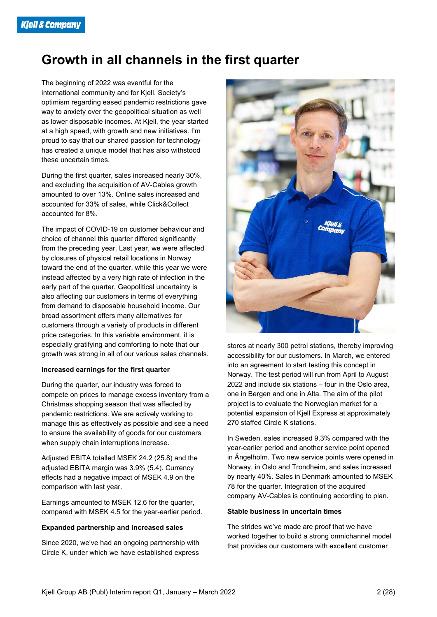## Growth in all channels in the first quarter

The beginning of 2022 was eventful for the international community and for Kjell. Society's optimism regarding eased pandemic restrictions gave way to anxiety over the geopolitical situation as well as lower disposable incomes. At Kjell, the year started at a high speed, with growth and new initiatives. I'm proud to say that our shared passion for technology has created a unique model that has also withstood these uncertain times.

During the first quarter, sales increased nearly 30%, and excluding the acquisition of AV-Cables growth amounted to over 13%. Online sales increased and accounted for 33% of sales, while Click&Collect accounted for 8%.

The impact of COVID-19 on customer behaviour and choice of channel this quarter differed significantly from the preceding year. Last year, we were affected by closures of physical retail locations in Norway toward the end of the quarter, while this year we were instead affected by a very high rate of infection in the early part of the quarter. Geopolitical uncertainty is also affecting our customers in terms of everything from demand to disposable household income. Our broad assortment offers many alternatives for customers through a variety of products in different price categories. In this variable environment, it is especially gratifying and comforting to note that our growth was strong in all of our various sales channels.

#### Increased earnings for the first quarter

During the quarter, our industry was forced to compete on prices to manage excess inventory from a Christmas shopping season that was affected by pandemic restrictions. We are actively working to manage this as effectively as possible and see a need to ensure the availability of goods for our customers when supply chain interruptions increase.

Adjusted EBITA totalled MSEK 24.2 (25.8) and the adjusted EBITA margin was 3.9% (5.4). Currency effects had a negative impact of MSEK 4.9 on the comparison with last year.

Earnings amounted to MSEK 12.6 for the quarter, compared with MSEK 4.5 for the year-earlier period.

#### Expanded partnership and increased sales

Since 2020, we've had an ongoing partnership with Circle K, under which we have established express



stores at nearly 300 petrol stations, thereby improving accessibility for our customers. In March, we entered into an agreement to start testing this concept in Norway. The test period will run from April to August 2022 and include six stations – four in the Oslo area, one in Bergen and one in Alta. The aim of the pilot project is to evaluate the Norwegian market for a potential expansion of Kjell Express at approximately 270 staffed Circle K stations.

In Sweden, sales increased 9.3% compared with the year-earlier period and another service point opened in Ängelholm. Two new service points were opened in Norway, in Oslo and Trondheim, and sales increased by nearly 40%. Sales in Denmark amounted to MSEK 78 for the quarter. Integration of the acquired company AV-Cables is continuing according to plan.

#### Stable business in uncertain times

The strides we've made are proof that we have worked together to build a strong omnichannel model that provides our customers with excellent customer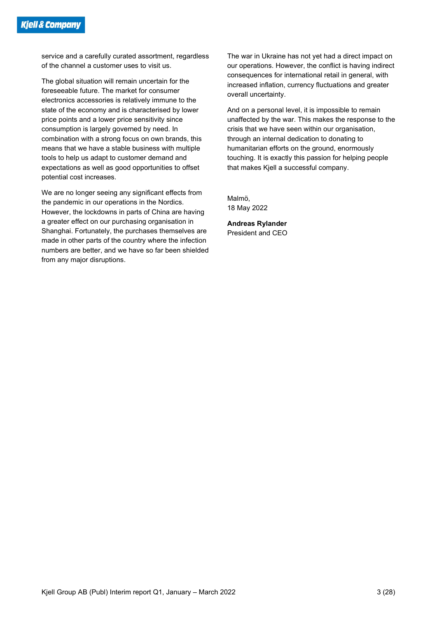service and a carefully curated assortment, regardless of the channel a customer uses to visit us.

The global situation will remain uncertain for the foreseeable future. The market for consumer electronics accessories is relatively immune to the state of the economy and is characterised by lower price points and a lower price sensitivity since consumption is largely governed by need. In combination with a strong focus on own brands, this means that we have a stable business with multiple tools to help us adapt to customer demand and expectations as well as good opportunities to offset potential cost increases.

We are no longer seeing any significant effects from the pandemic in our operations in the Nordics. However, the lockdowns in parts of China are having a greater effect on our purchasing organisation in Shanghai. Fortunately, the purchases themselves are made in other parts of the country where the infection numbers are better, and we have so far been shielded from any major disruptions.

The war in Ukraine has not yet had a direct impact on our operations. However, the conflict is having indirect consequences for international retail in general, with increased inflation, currency fluctuations and greater overall uncertainty.

And on a personal level, it is impossible to remain unaffected by the war. This makes the response to the crisis that we have seen within our organisation, through an internal dedication to donating to humanitarian efforts on the ground, enormously touching. It is exactly this passion for helping people that makes Kjell a successful company.

Malmö, 18 May 2022

Andreas Rylander President and CEO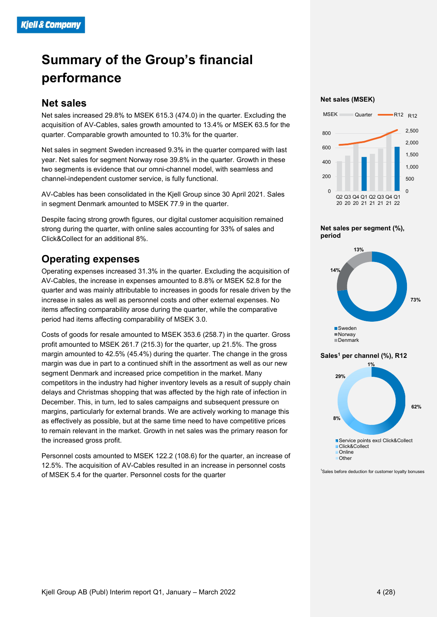## Summary of the Group's financial performance

## Net sales

Net sales increased 29.8% to MSEK 615.3 (474.0) in the quarter. Excluding the acquisition of AV-Cables, sales growth amounted to 13.4% or MSEK 63.5 for the quarter. Comparable growth amounted to 10.3% for the quarter.

Net sales in segment Sweden increased 9.3% in the quarter compared with last year. Net sales for segment Norway rose 39.8% in the quarter. Growth in these two segments is evidence that our omni-channel model, with seamless and channel-independent customer service, is fully functional.

AV-Cables has been consolidated in the Kjell Group since 30 April 2021. Sales in segment Denmark amounted to MSEK 77.9 in the quarter.

Despite facing strong growth figures, our digital customer acquisition remained strong during the quarter, with online sales accounting for 33% of sales and Click&Collect for an additional 8%.

## Operating expenses

Operating expenses increased 31.3% in the quarter. Excluding the acquisition of AV-Cables, the increase in expenses amounted to 8.8% or MSEK 52.8 for the quarter and was mainly attributable to increases in goods for resale driven by the increase in sales as well as personnel costs and other external expenses. No items affecting comparability arose during the quarter, while the comparative period had items affecting comparability of MSEK 3.0.

Costs of goods for resale amounted to MSEK 353.6 (258.7) in the quarter. Gross profit amounted to MSEK 261.7 (215.3) for the quarter, up 21.5%. The gross margin amounted to 42.5% (45.4%) during the quarter. The change in the gross margin was due in part to a continued shift in the assortment as well as our new segment Denmark and increased price competition in the market. Many competitors in the industry had higher inventory levels as a result of supply chain delays and Christmas shopping that was affected by the high rate of infection in December. This, in turn, led to sales campaigns and subsequent pressure on margins, particularly for external brands. We are actively working to manage this as effectively as possible, but at the same time need to have competitive prices to remain relevant in the market. Growth in net sales was the primary reason for the increased gross profit.

Personnel costs amounted to MSEK 122.2 (108.6) for the quarter, an increase of 12.5%. The acquisition of AV-Cables resulted in an increase in personnel costs of MSEK 5.4 for the quarter. Personnel costs for the quarter

Net sales (MSEK)













<sup>1</sup>Sales before deduction for customer loyalty bonuses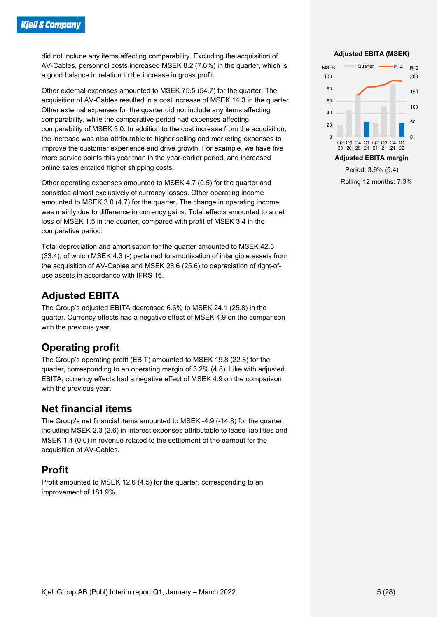did not include any items affecting comparability. Excluding the acquisition of AV-Cables, personnel costs increased MSEK 8.2 (7.6%) in the quarter, which is a good balance in relation to the increase in gross profit.

Other external expenses amounted to MSEK 75.5 (54.7) for the quarter. The acquisition of AV-Cables resulted in a cost increase of MSEK 14.3 in the quarter. Other external expenses for the quarter did not include any items affecting comparability, while the comparative period had expenses affecting comparability of MSEK 3.0. In addition to the cost increase from the acquisition, the increase was also attributable to higher selling and marketing expenses to improve the customer experience and drive growth. For example, we have five more service points this year than in the year-earlier period, and increased online sales entailed higher shipping costs.

Other operating expenses amounted to MSEK 4.7 (0.5) for the quarter and consisted almost exclusively of currency losses. Other operating income amounted to MSEK 3.0 (4.7) for the quarter. The change in operating income was mainly due to difference in currency gains. Total effects amounted to a net loss of MSEK 1.5 in the quarter, compared with profit of MSEK 3.4 in the comparative period.

Total depreciation and amortisation for the quarter amounted to MSEK 42.5 (33.4), of which MSEK 4.3 (-) pertained to amortisation of intangible assets from the acquisition of AV-Cables and MSEK 28.6 (25.6) to depreciation of right-ofuse assets in accordance with IFRS 16.

## Adjusted EBITA

The Group's adjusted EBITA decreased 6.6% to MSEK 24.1 (25.8) in the quarter. Currency effects had a negative effect of MSEK 4.9 on the comparison with the previous year.

## Operating profit

The Group's operating profit (EBIT) amounted to MSEK 19.8 (22.8) for the quarter, corresponding to an operating margin of 3.2% (4.8). Like with adjusted EBITA, currency effects had a negative effect of MSEK 4.9 on the comparison with the previous year.

### Net financial items

The Group's net financial items amounted to MSEK -4.9 (-14.8) for the quarter, including MSEK 2.3 (2.6) in interest expenses attributable to lease liabilities and MSEK 1.4 (0.0) in revenue related to the settlement of the earnout for the acquisition of AV-Cables.

## Profit

Profit amounted to MSEK 12.6 (4.5) for the quarter, corresponding to an improvement of 181.9%.

#### Adjusted EBITA (MSEK)



Rolling 12 months: 7.3%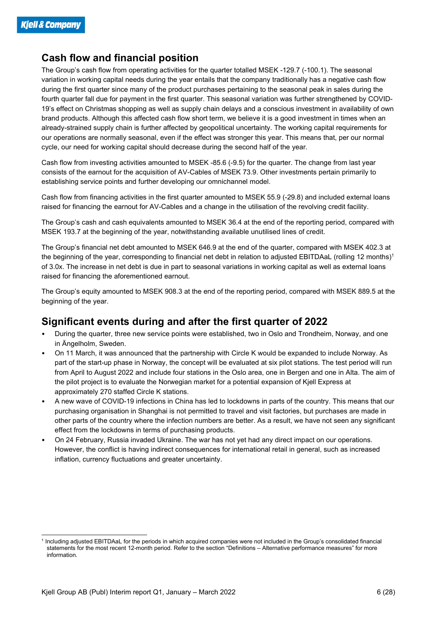## Cash flow and financial position

The Group's cash flow from operating activities for the quarter totalled MSEK -129.7 (-100.1). The seasonal variation in working capital needs during the year entails that the company traditionally has a negative cash flow during the first quarter since many of the product purchases pertaining to the seasonal peak in sales during the fourth quarter fall due for payment in the first quarter. This seasonal variation was further strengthened by COVID-19's effect on Christmas shopping as well as supply chain delays and a conscious investment in availability of own brand products. Although this affected cash flow short term, we believe it is a good investment in times when an already-strained supply chain is further affected by geopolitical uncertainty. The working capital requirements for our operations are normally seasonal, even if the effect was stronger this year. This means that, per our normal cycle, our need for working capital should decrease during the second half of the year.

Cash flow from investing activities amounted to MSEK -85.6 (-9.5) for the quarter. The change from last year consists of the earnout for the acquisition of AV-Cables of MSEK 73.9. Other investments pertain primarily to establishing service points and further developing our omnichannel model.

Cash flow from financing activities in the first quarter amounted to MSEK 55.9 (-29.8) and included external loans raised for financing the earnout for AV-Cables and a change in the utilisation of the revolving credit facility.

The Group's cash and cash equivalents amounted to MSEK 36.4 at the end of the reporting period, compared with MSEK 193.7 at the beginning of the year, notwithstanding available unutilised lines of credit.

The Group's financial net debt amounted to MSEK 646.9 at the end of the quarter, compared with MSEK 402.3 at the beginning of the year, corresponding to financial net debt in relation to adjusted EBITDAaL (rolling 12 months)<sup>1</sup> of 3.0x. The increase in net debt is due in part to seasonal variations in working capital as well as external loans raised for financing the aforementioned earnout.

The Group's equity amounted to MSEK 908.3 at the end of the reporting period, compared with MSEK 889.5 at the beginning of the year.

### Significant events during and after the first quarter of 2022

- During the quarter, three new service points were established, two in Oslo and Trondheim, Norway, and one in Ängelholm, Sweden.
- On 11 March, it was announced that the partnership with Circle K would be expanded to include Norway. As part of the start-up phase in Norway, the concept will be evaluated at six pilot stations. The test period will run from April to August 2022 and include four stations in the Oslo area, one in Bergen and one in Alta. The aim of the pilot project is to evaluate the Norwegian market for a potential expansion of Kjell Express at approximately 270 staffed Circle K stations.
- A new wave of COVID-19 infections in China has led to lockdowns in parts of the country. This means that our purchasing organisation in Shanghai is not permitted to travel and visit factories, but purchases are made in other parts of the country where the infection numbers are better. As a result, we have not seen any significant effect from the lockdowns in terms of purchasing products.
- On 24 February, Russia invaded Ukraine. The war has not yet had any direct impact on our operations. However, the conflict is having indirect consequences for international retail in general, such as increased inflation, currency fluctuations and greater uncertainty.

<sup>1</sup> Including adjusted EBITDAaL for the periods in which acquired companies were not included in the Group's consolidated financial statements for the most recent 12-month period. Refer to the section "Definitions – Alternative performance measures" for more information.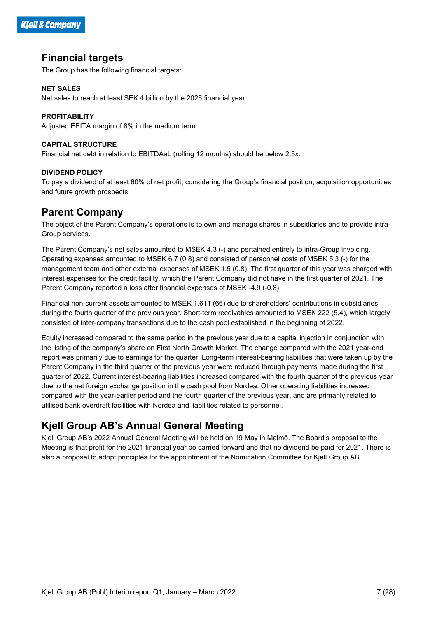

### Financial targets

The Group has the following financial targets:

#### NET SALES

Net sales to reach at least SEK 4 billion by the 2025 financial year.

#### PROFITABILITY

Adjusted EBITA margin of 8% in the medium term.

#### CAPITAL STRUCTURE

Financial net debt in relation to EBITDAaL (rolling 12 months) should be below 2.5x.

#### DIVIDEND POLICY

To pay a dividend of at least 60% of net profit, considering the Group's financial position, acquisition opportunities and future growth prospects.

## Parent Company

The object of the Parent Company's operations is to own and manage shares in subsidiaries and to provide intra-Group services.

The Parent Company's net sales amounted to MSEK 4.3 (-) and pertained entirely to intra-Group invoicing. Operating expenses amounted to MSEK 6.7 (0.8) and consisted of personnel costs of MSEK 5.3 (-) for the management team and other external expenses of MSEK 1.5 (0.8). The first quarter of this year was charged with interest expenses for the credit facility, which the Parent Company did not have in the first quarter of 2021. The Parent Company reported a loss after financial expenses of MSEK -4.9 (-0.8).

Financial non-current assets amounted to MSEK 1,611 (66) due to shareholders' contributions in subsidiaries during the fourth quarter of the previous year. Short-term receivables amounted to MSEK 222 (5.4), which largely consisted of inter-company transactions due to the cash pool established in the beginning of 2022.

Equity increased compared to the same period in the previous year due to a capital injection in conjunction with the listing of the company's share on First North Growth Market. The change compared with the 2021 year-end report was primarily due to earnings for the quarter. Long-term interest-bearing liabilities that were taken up by the Parent Company in the third quarter of the previous year were reduced through payments made during the first quarter of 2022. Current interest-bearing liabilities increased compared with the fourth quarter of the previous year due to the net foreign exchange position in the cash pool from Nordea. Other operating liabilities increased compared with the year-earlier period and the fourth quarter of the previous year, and are primarily related to utilised bank overdraft facilities with Nordea and liabilities related to personnel.

## Kjell Group AB's Annual General Meeting

Kjell Group AB's 2022 Annual General Meeting will be held on 19 May in Malmö. The Board's proposal to the Meeting is that profit for the 2021 financial year be carried forward and that no dividend be paid for 2021. There is also a proposal to adopt principles for the appointment of the Nomination Committee for Kjell Group AB.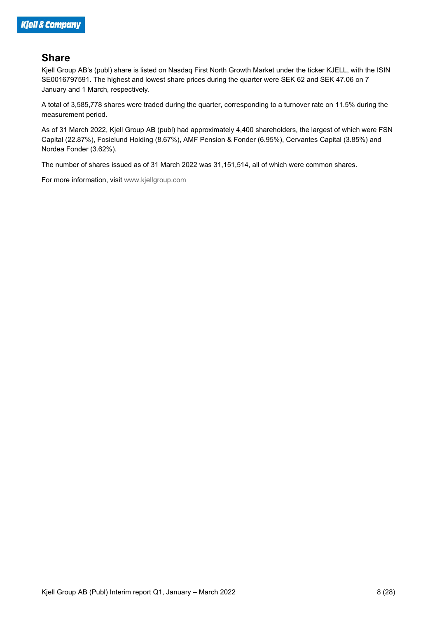## **Share**

Kjell Group AB's (publ) share is listed on Nasdaq First North Growth Market under the ticker KJELL, with the ISIN SE0016797591. The highest and lowest share prices during the quarter were SEK 62 and SEK 47.06 on 7 January and 1 March, respectively.

A total of 3,585,778 shares were traded during the quarter, corresponding to a turnover rate on 11.5% during the measurement period.

As of 31 March 2022, Kjell Group AB (publ) had approximately 4,400 shareholders, the largest of which were FSN Capital (22.87%), Fosielund Holding (8.67%), AMF Pension & Fonder (6.95%), Cervantes Capital (3.85%) and Nordea Fonder (3.62%).

The number of shares issued as of 31 March 2022 was 31,151,514, all of which were common shares.

For more information, visit www.kjellgroup.com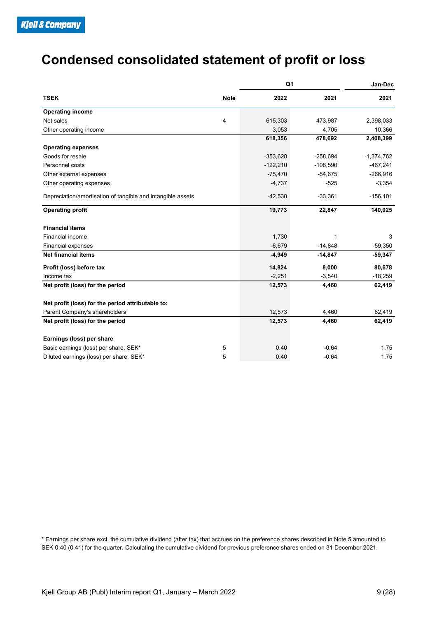## Condensed consolidated statement of profit or loss

|                                                             |             | Q <sub>1</sub> |              | Jan-Dec      |
|-------------------------------------------------------------|-------------|----------------|--------------|--------------|
| <b>TSEK</b>                                                 | <b>Note</b> | 2022           | 2021         | 2021         |
| <b>Operating income</b>                                     |             |                |              |              |
| Net sales                                                   | 4           | 615,303        | 473,987      | 2,398,033    |
| Other operating income                                      |             | 3,053          | 4,705        | 10,366       |
|                                                             |             | 618,356        | 478,692      | 2,408,399    |
| <b>Operating expenses</b>                                   |             |                |              |              |
| Goods for resale                                            |             | $-353,628$     | $-258,694$   | $-1,374,762$ |
| Personnel costs                                             |             | $-122,210$     | $-108,590$   | $-467,241$   |
| Other external expenses                                     |             | $-75,470$      | $-54,675$    | $-266,916$   |
| Other operating expenses                                    |             | $-4,737$       | $-525$       | $-3,354$     |
| Depreciation/amortisation of tangible and intangible assets |             | $-42,538$      | $-33,361$    | $-156, 101$  |
| <b>Operating profit</b>                                     |             | 19,773         | 22,847       | 140,025      |
| <b>Financial items</b>                                      |             |                |              |              |
| Financial income                                            |             | 1,730          | $\mathbf{1}$ | 3            |
| Financial expenses                                          |             | $-6,679$       | $-14,848$    | $-59,350$    |
| Net financial items                                         |             | $-4,949$       | $-14,847$    | $-59,347$    |
| Profit (loss) before tax                                    |             | 14,824         | 8,000        | 80,678       |
| Income tax                                                  |             | $-2,251$       | $-3,540$     | $-18,259$    |
| Net profit (loss) for the period                            |             | 12,573         | 4,460        | 62,419       |
| Net profit (loss) for the period attributable to:           |             |                |              |              |
| Parent Company's shareholders                               |             | 12,573         | 4,460        | 62,419       |
| Net profit (loss) for the period                            |             | 12,573         | 4,460        | 62,419       |
| Earnings (loss) per share                                   |             |                |              |              |
| Basic earnings (loss) per share, SEK*                       | 5           | $0.40\,$       | $-0.64$      | 1.75         |
| Diluted earnings (loss) per share, SEK*                     | 5           | 0.40           | $-0.64$      | 1.75         |

\* Earnings per share excl. the cumulative dividend (after tax) that accrues on the preference shares described in Note 5 amounted to SEK 0.40 (0.41) for the quarter. Calculating the cumulative dividend for previous preference shares ended on 31 December 2021.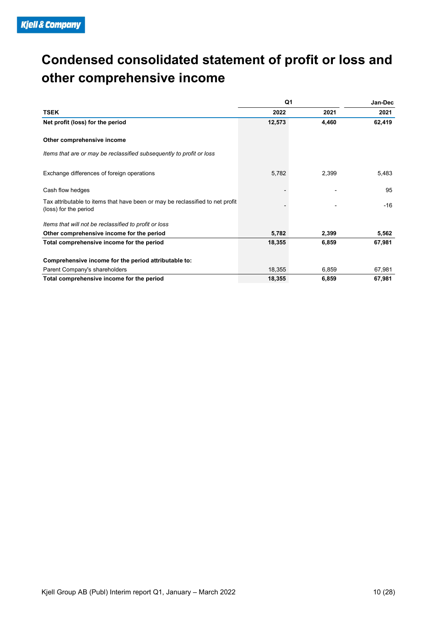## Condensed consolidated statement of profit or loss and other comprehensive income

| <b>E</b> Company                                                                     |                  |                          |                  |
|--------------------------------------------------------------------------------------|------------------|--------------------------|------------------|
|                                                                                      |                  |                          |                  |
| Condensed consolidated statement of profit or loss and<br>other comprehensive income |                  |                          |                  |
|                                                                                      |                  |                          |                  |
|                                                                                      |                  |                          |                  |
|                                                                                      |                  |                          |                  |
|                                                                                      |                  |                          |                  |
|                                                                                      |                  |                          |                  |
|                                                                                      |                  |                          |                  |
|                                                                                      |                  |                          |                  |
|                                                                                      |                  |                          |                  |
|                                                                                      |                  |                          |                  |
|                                                                                      | Q <sub>1</sub>   |                          | Jan-Dec          |
| <b>TSEK</b>                                                                          | 2022             | 2021                     | 2021             |
| Net profit (loss) for the period                                                     | 12,573           | 4,460                    | 62,419           |
|                                                                                      |                  |                          |                  |
| Other comprehensive income                                                           |                  |                          |                  |
| Items that are or may be reclassified subsequently to profit or loss                 |                  |                          |                  |
|                                                                                      |                  |                          |                  |
| Exchange differences of foreign operations                                           | 5,782            | 2,399                    | 5,483            |
|                                                                                      |                  |                          |                  |
| Cash flow hedges                                                                     |                  | $\overline{\phantom{a}}$ | 95               |
| Tax attributable to items that have been or may be reclassified to net profit        |                  |                          |                  |
| (loss) for the period                                                                |                  |                          | $-16$            |
|                                                                                      |                  |                          |                  |
| Items that will not be reclassified to profit or loss                                |                  |                          |                  |
| Other comprehensive income for the period                                            | 5,782            | 2,399                    | 5,562            |
|                                                                                      | 18,355           | 6,859                    | 67,981           |
| Total comprehensive income for the period                                            |                  |                          |                  |
|                                                                                      |                  |                          |                  |
| Comprehensive income for the period attributable to:                                 |                  |                          |                  |
| Parent Company's shareholders<br>Total comprehensive income for the period           | 18,355<br>18,355 | 6,859<br>6,859           | 67,981<br>67,981 |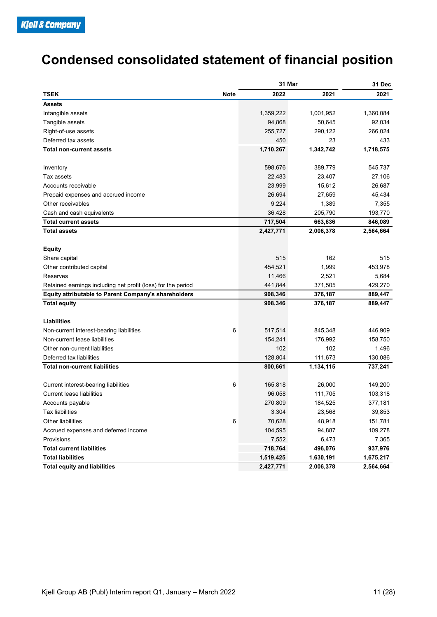## Condensed consolidated statement of financial position

| <b>Condensed consolidated statement of financial position</b>          |                     |                     |                    |
|------------------------------------------------------------------------|---------------------|---------------------|--------------------|
|                                                                        |                     |                     |                    |
|                                                                        |                     |                     |                    |
|                                                                        | 31 Mar              |                     | 31 Dec             |
| <b>TSEK</b><br><b>Note</b>                                             | 2022                | 2021                | 2021               |
| <b>Assets</b>                                                          |                     |                     |                    |
| Intangible assets                                                      | 1,359,222<br>94,868 | 1,001,952<br>50,645 | 1,360,084          |
| Tangible assets<br>Right-of-use assets                                 | 255,727             | 290,122             | 92,034<br>266,024  |
| Deferred tax assets                                                    | 450                 | 23                  | 433                |
| Total non-current assets                                               | 1,710,267           | 1,342,742           | 1,718,575          |
|                                                                        |                     |                     |                    |
| Inventory                                                              | 598,676             | 389,779             | 545,737            |
| Tax assets                                                             | 22,483              | 23,407              | 27,106             |
| Accounts receivable                                                    | 23,999              | 15,612              | 26,687             |
| Prepaid expenses and accrued income                                    | 26,694              | 27,659              | 45,434             |
| Other receivables                                                      | 9,224               | 1,389               | 7,355              |
| Cash and cash equivalents                                              | 36,428              | 205,790             | 193,770            |
| <b>Total current assets</b>                                            | 717,504             | 663,636             | 846,089            |
| <b>Total assets</b>                                                    | 2,427,771           | 2,006,378           | 2,564,664          |
|                                                                        |                     |                     |                    |
| <b>Equity</b><br>Share capital                                         | 515                 | 162                 | 515                |
| Other contributed capital                                              | 454,521             | 1,999               | 453,978            |
| Reserves                                                               | 11,466              | 2,521               | 5,684              |
| Retained earnings including net profit (loss) for the period           | 441,844             | 371,505             | 429,270            |
| Equity attributable to Parent Company's shareholders                   | 908,346             | 376,187             | 889,447            |
| <b>Total equity</b>                                                    | 908,346             | 376,187             | 889,447            |
|                                                                        |                     |                     |                    |
| Liabilities                                                            |                     |                     |                    |
| Non-current interest-bearing liabilities<br>6                          | 517,514             | 845,348             | 446,909            |
| Non-current lease liabilities                                          | 154,241             | 176,992             | 158,750            |
| Other non-current liabilities                                          | 102                 | 102                 | 1,496              |
| Deferred tax liabilities                                               | 128,804             | 111,673             | 130,086            |
| <b>Total non-current liabilities</b>                                   | 800,661             | 1,134,115           | 737,241            |
|                                                                        |                     |                     |                    |
| Current interest-bearing liabilities<br>6<br>Current lease liabilities | 165,818<br>96,058   | 26,000<br>111,705   | 149,200<br>103,318 |
| Accounts payable                                                       | 270,809             | 184,525             | 377,181            |
| Tax liabilities                                                        | 3,304               | 23,568              | 39,853             |
| Other liabilities<br>6                                                 | 70,628              | 48,918              | 151,781            |
| Accrued expenses and deferred income                                   | 104,595             | 94,887              | 109,278            |
| Provisions                                                             | 7,552               | 6,473               | 7,365              |
| <b>Total current liabilities</b>                                       | 718,764             | 496,076             | 937,976            |
| <b>Total liabilities</b>                                               | 1,519,425           | 1,630,191           | 1,675,217          |
| <b>Total equity and liabilities</b>                                    | 2,427,771           | 2,006,378           | 2,564,664          |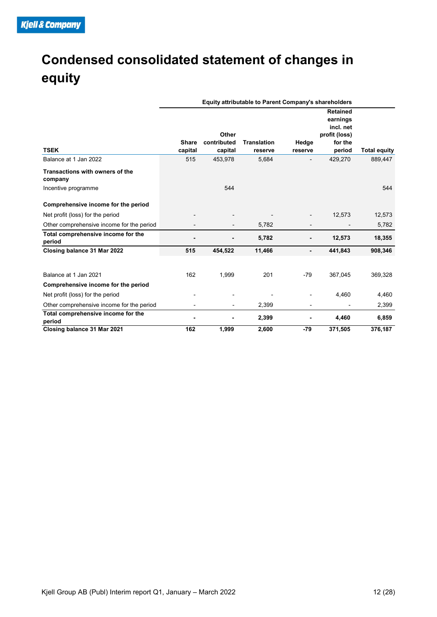## Condensed consolidated statement of changes in equity

| <b>Condensed consolidated statement of changes in</b><br>equity |                          |                                 |                                                      |                          |                                                                                |                     |
|-----------------------------------------------------------------|--------------------------|---------------------------------|------------------------------------------------------|--------------------------|--------------------------------------------------------------------------------|---------------------|
|                                                                 |                          |                                 | Equity attributable to Parent Company's shareholders |                          |                                                                                |                     |
| <b>TSEK</b>                                                     | Share<br>capital         | Other<br>contributed<br>capital | <b>Translation</b><br>reserve                        | Hedge<br>reserve         | <b>Retained</b><br>earnings<br>incl. net<br>profit (loss)<br>for the<br>period | <b>Total equity</b> |
| Balance at 1 Jan 2022                                           | 515                      | 453,978                         | 5,684                                                | $\overline{a}$           | 429,270                                                                        | 889,447             |
| Transactions with owners of the<br>company                      |                          |                                 |                                                      |                          |                                                                                |                     |
| Incentive programme                                             |                          | 544                             |                                                      |                          |                                                                                | 544                 |
| Comprehensive income for the period                             |                          |                                 |                                                      |                          |                                                                                |                     |
| Net profit (loss) for the period                                |                          |                                 |                                                      | $\overline{\phantom{a}}$ | 12,573                                                                         | 12,573              |
| Other comprehensive income for the period                       |                          | $\overline{\phantom{a}}$        | 5,782                                                | $\overline{\phantom{a}}$ | $\overline{\phantom{a}}$                                                       | 5,782               |
| Total comprehensive income for the<br>period                    | $\overline{a}$           | ٠                               | 5,782                                                | $\blacksquare$           | 12,573                                                                         | 18,355              |
| Closing balance 31 Mar 2022                                     | 515                      | 454,522                         | 11,466                                               | $\blacksquare$           | 441,843                                                                        | 908,346             |
| Balance at 1 Jan 2021                                           | 162                      | 1,999                           | 201                                                  | $-79$                    | 367,045                                                                        | 369,328             |
| Comprehensive income for the period                             |                          |                                 |                                                      |                          |                                                                                |                     |
| Net profit (loss) for the period                                |                          |                                 |                                                      |                          | 4,460                                                                          | 4,460               |
| Other comprehensive income for the period                       | $\overline{\phantom{a}}$ | $\sim$                          | 2,399                                                | $\overline{\phantom{a}}$ | $\overline{\phantom{a}}$                                                       | 2,399               |
| Total comprehensive income for the<br>period                    | $\blacksquare$           | $\blacksquare$                  | 2,399                                                | $\blacksquare$           | 4,460                                                                          | 6,859               |
| Closing balance 31 Mar 2021                                     | 162                      | 1,999                           | 2,600                                                | $-79$                    | 371,505                                                                        | 376,187             |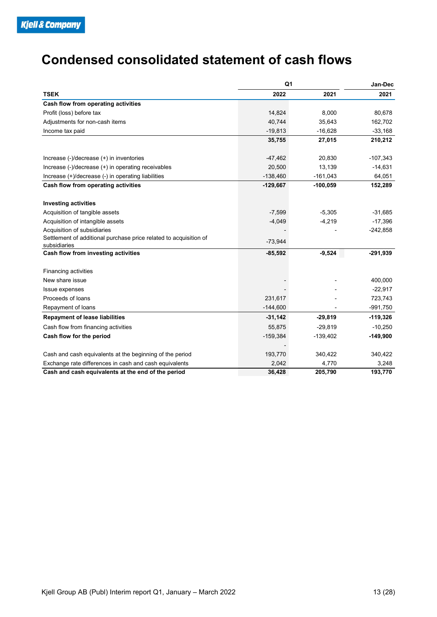## Condensed consolidated statement of cash flows

|                                                                                   | Q1         |            | Jan-Dec          |
|-----------------------------------------------------------------------------------|------------|------------|------------------|
| <b>TSEK</b>                                                                       | 2022       | 2021       | 2021             |
| Cash flow from operating activities                                               |            |            |                  |
| Profit (loss) before tax                                                          | 14,824     | 8,000      | 80,678           |
| Adjustments for non-cash items                                                    | 40,744     | 35,643     | 162,702          |
| Income tax paid                                                                   | $-19,813$  | $-16,628$  | $-33,168$        |
|                                                                                   | 35,755     | 27,015     | 210,212          |
| Increase (-)/decrease (+) in inventories                                          | $-47,462$  | 20,830     | $-107,343$       |
| Increase (-)/decrease (+) in operating receivables                                | 20,500     | 13,139     | $-14,631$        |
| Increase (+)/decrease (-) in operating liabilities                                | $-138,460$ | $-161,043$ | 64,051           |
| Cash flow from operating activities                                               | $-129,667$ | $-100,059$ | 152,289          |
|                                                                                   |            |            |                  |
| <b>Investing activities</b>                                                       |            |            |                  |
| Acquisition of tangible assets                                                    | $-7,599$   | $-5,305$   | $-31,685$        |
| Acquisition of intangible assets                                                  | $-4,049$   | $-4,219$   | $-17,396$        |
| Acquisition of subsidiaries                                                       |            |            | $-242,858$       |
| Settlement of additional purchase price related to acquisition of<br>subsidiaries | $-73,944$  |            |                  |
| Cash flow from investing activities                                               | $-85,592$  | $-9,524$   | $-291,939$       |
| Financing activities                                                              |            |            |                  |
| New share issue                                                                   |            |            | 400,000          |
| Issue expenses                                                                    |            |            | $-22,917$        |
| Proceeds of loans                                                                 | 231,617    |            | 723,743          |
| Repayment of loans                                                                | $-144,600$ |            | $-991,750$       |
| <b>Repayment of lease liabilities</b>                                             | $-31,142$  | $-29,819$  | $-119,326$       |
| Cash flow from financing activities                                               | 55,875     | $-29,819$  | $-10,250$        |
| Cash flow for the period                                                          | $-159,384$ | $-139,402$ | $-149,900$       |
| Cash and cash equivalents at the beginning of the period                          | 193,770    | 340,422    | 340,422          |
|                                                                                   | 2,042      | 4,770      |                  |
| Exchange rate differences in cash and cash equivalents                            |            | 205,790    | 3,248<br>193,770 |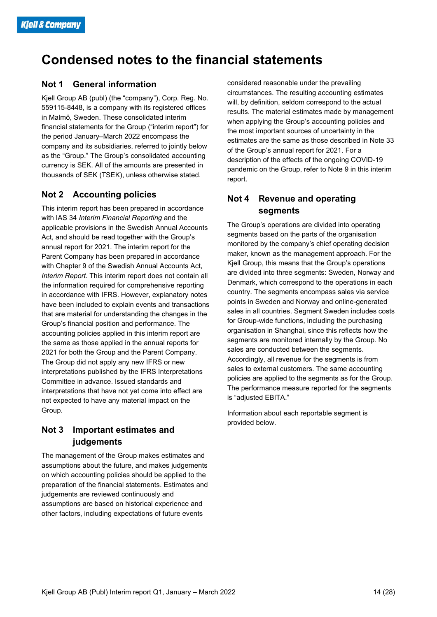## Condensed notes to the financial statements

### Not 1 General information

Kjell Group AB (publ) (the "company"), Corp. Reg. No. 559115-8448, is a company with its registered offices in Malmö, Sweden. These consolidated interim financial statements for the Group ("interim report") for the period January–March 2022 encompass the company and its subsidiaries, referred to jointly below as the "Group." The Group's consolidated accounting currency is SEK. All of the amounts are presented in thousands of SEK (TSEK), unless otherwise stated.

#### Not 2 Accounting policies

This interim report has been prepared in accordance with IAS 34 Interim Financial Reporting and the applicable provisions in the Swedish Annual Accounts Act, and should be read together with the Group's annual report for 2021. The interim report for the Parent Company has been prepared in accordance with Chapter 9 of the Swedish Annual Accounts Act, Interim Report. This interim report does not contain all the information required for comprehensive reporting in accordance with IFRS. However, explanatory notes have been included to explain events and transactions that are material for understanding the changes in the Group's financial position and performance. The accounting policies applied in this interim report are the same as those applied in the annual reports for 2021 for both the Group and the Parent Company. The Group did not apply any new IFRS or new interpretations published by the IFRS Interpretations Committee in advance. Issued standards and interpretations that have not yet come into effect are not expected to have any material impact on the Group.

### Not 3 Important estimates and judgements

The management of the Group makes estimates and assumptions about the future, and makes judgements on which accounting policies should be applied to the preparation of the financial statements. Estimates and judgements are reviewed continuously and assumptions are based on historical experience and other factors, including expectations of future events

considered reasonable under the prevailing circumstances. The resulting accounting estimates will, by definition, seldom correspond to the actual results. The material estimates made by management when applying the Group's accounting policies and the most important sources of uncertainty in the estimates are the same as those described in Note 33 of the Group's annual report for 2021. For a description of the effects of the ongoing COVID-19 pandemic on the Group, refer to Note 9 in this interim report.

### Not 4 Revenue and operating segments

The Group's operations are divided into operating segments based on the parts of the organisation monitored by the company's chief operating decision maker, known as the management approach. For the Kjell Group, this means that the Group's operations are divided into three segments: Sweden, Norway and Denmark, which correspond to the operations in each country. The segments encompass sales via service points in Sweden and Norway and online-generated sales in all countries. Segment Sweden includes costs for Group-wide functions, including the purchasing organisation in Shanghai, since this reflects how the segments are monitored internally by the Group. No sales are conducted between the segments. Accordingly, all revenue for the segments is from sales to external customers. The same accounting policies are applied to the segments as for the Group. The performance measure reported for the segments is "adjusted EBITA."

Information about each reportable segment is provided below.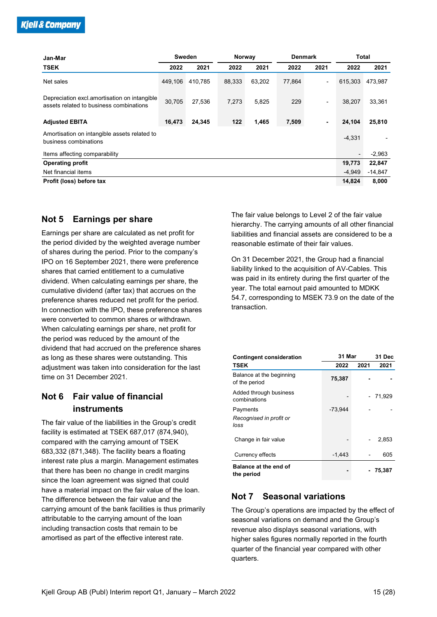|        |                |                                             |        |                |                          |                        | 2021                                                                                                                 |
|--------|----------------|---------------------------------------------|--------|----------------|--------------------------|------------------------|----------------------------------------------------------------------------------------------------------------------|
|        |                | 88,333                                      | 63,202 | 77,864         | $\overline{\phantom{a}}$ |                        |                                                                                                                      |
|        |                |                                             |        |                |                          |                        |                                                                                                                      |
|        | 27,536         | 7,273                                       | 5,825  | 229            | $\overline{\phantom{a}}$ | 38,207                 | 33,361                                                                                                               |
| 16,473 |                | 122                                         | 1,465  | 7,509          | $\sim$                   |                        | 25,810                                                                                                               |
|        |                |                                             |        |                |                          |                        |                                                                                                                      |
|        |                |                                             |        |                |                          |                        | $\overline{\phantom{a}}$                                                                                             |
|        |                |                                             |        |                |                          | $\sim$                 | $-2,963$                                                                                                             |
|        |                |                                             |        |                |                          | 19,773                 | 22,847                                                                                                               |
|        |                |                                             |        |                |                          | $-4,949$               | $-14,847$                                                                                                            |
|        |                |                                             |        |                |                          | 14,824                 | 8,000                                                                                                                |
|        |                |                                             |        |                |                          |                        |                                                                                                                      |
|        |                |                                             |        |                |                          |                        |                                                                                                                      |
|        |                |                                             |        |                |                          |                        |                                                                                                                      |
|        |                |                                             |        |                |                          |                        |                                                                                                                      |
|        | 2022<br>30,705 | Sweden<br>2021<br>449,106 410,785<br>24,345 | 2022   | Norway<br>2021 | 2022                     | <b>Denmark</b><br>2021 | <b>Total</b><br>2022<br>615,303 473,987<br>24,104<br>$-4,331$<br>The fair value belongs to Level 2 of the fair value |

#### Not 5 Earnings per share

Earnings per share are calculated as net profit for the period divided by the weighted average number of shares during the period. Prior to the company's IPO on 16 September 2021, there were preference shares that carried entitlement to a cumulative dividend. When calculating earnings per share, the cumulative dividend (after tax) that accrues on the preference shares reduced net profit for the period. In connection with the IPO, these preference shares were converted to common shares or withdrawn. When calculating earnings per share, net profit for the period was reduced by the amount of the dividend that had accrued on the preference shares as long as these shares were outstanding. This adjustment was taken into consideration for the last time on 31 December 2021.

### Not 6 Fair value of financial instruments

The fair value of the liabilities in the Group's credit facility is estimated at TSEK 687,017 (874,940), compared with the carrying amount of TSEK 683,332 (871,348). The facility bears a floating interest rate plus a margin. Management estimates that there has been no change in credit margins since the loan agreement was signed that could have a material impact on the fair value of the loan. The difference between the fair value and the carrying amount of the bank facilities is thus primarily attributable to the carrying amount of the loan including transaction costs that remain to be amortised as part of the effective interest rate.

|                                                                                                                                                                                                                                                                              | 14,824         |      | 8,000     |
|------------------------------------------------------------------------------------------------------------------------------------------------------------------------------------------------------------------------------------------------------------------------------|----------------|------|-----------|
| The fair value belongs to Level 2 of the fair value<br>hierarchy. The carrying amounts of all other financial<br>liabilities and financial assets are considered to be a<br>reasonable estimate of their fair values.                                                        |                |      |           |
| On 31 December 2021, the Group had a financial<br>liability linked to the acquisition of AV-Cables. This<br>was paid in its entirety during the first quarter of the<br>year. The total earnout paid amounted to MDKK<br>54.7, corresponding to MSEK 73.9 on the date of the |                |      |           |
|                                                                                                                                                                                                                                                                              |                |      |           |
| <b>Contingent consideration</b>                                                                                                                                                                                                                                              | 31 Mar         |      | 31 Dec    |
| <b>TSEK</b><br>Balance at the beginning<br>of the period                                                                                                                                                                                                                     | 2022<br>75,387 | 2021 | 2021      |
| Added through business<br>combinations                                                                                                                                                                                                                                       |                |      | $-71,929$ |
| transaction.<br>Payments<br>Recognised in profit or<br>loss                                                                                                                                                                                                                  | $-73,944$      |      |           |
| Change in fair value                                                                                                                                                                                                                                                         |                |      | 2,853     |
| Currency effects                                                                                                                                                                                                                                                             | $-1,443$       |      | 605       |

### Not 7 Seasonal variations

The Group's operations are impacted by the effect of seasonal variations on demand and the Group's revenue also displays seasonal variations, with higher sales figures normally reported in the fourth quarter of the financial year compared with other quarters.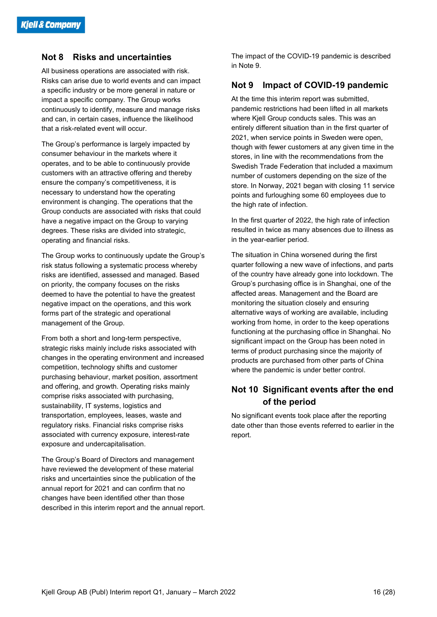#### Not 8 Risks and uncertainties

All business operations are associated with risk. Risks can arise due to world events and can impact a specific industry or be more general in nature or impact a specific company. The Group works continuously to identify, measure and manage risks and can, in certain cases, influence the likelihood that a risk-related event will occur.

The Group's performance is largely impacted by consumer behaviour in the markets where it operates, and to be able to continuously provide customers with an attractive offering and thereby ensure the company's competitiveness, it is necessary to understand how the operating environment is changing. The operations that the Group conducts are associated with risks that could have a negative impact on the Group to varying degrees. These risks are divided into strategic, operating and financial risks.

The Group works to continuously update the Group's risk status following a systematic process whereby risks are identified, assessed and managed. Based on priority, the company focuses on the risks deemed to have the potential to have the greatest negative impact on the operations, and this work forms part of the strategic and operational management of the Group.

From both a short and long-term perspective, strategic risks mainly include risks associated with changes in the operating environment and increased competition, technology shifts and customer purchasing behaviour, market position, assortment and offering, and growth. Operating risks mainly comprise risks associated with purchasing, sustainability, IT systems, logistics and transportation, employees, leases, waste and regulatory risks. Financial risks comprise risks associated with currency exposure, interest-rate exposure and undercapitalisation.

The Group's Board of Directors and management have reviewed the development of these material risks and uncertainties since the publication of the annual report for 2021 and can confirm that no changes have been identified other than those described in this interim report and the annual report.

The impact of the COVID-19 pandemic is described in Note 9.

### Not 9 Impact of COVID-19 pandemic

At the time this interim report was submitted, pandemic restrictions had been lifted in all markets where Kjell Group conducts sales. This was an entirely different situation than in the first quarter of 2021, when service points in Sweden were open, though with fewer customers at any given time in the stores, in line with the recommendations from the Swedish Trade Federation that included a maximum number of customers depending on the size of the store. In Norway, 2021 began with closing 11 service points and furloughing some 60 employees due to the high rate of infection.

In the first quarter of 2022, the high rate of infection resulted in twice as many absences due to illness as in the year-earlier period.

The situation in China worsened during the first quarter following a new wave of infections, and parts of the country have already gone into lockdown. The Group's purchasing office is in Shanghai, one of the affected areas. Management and the Board are monitoring the situation closely and ensuring alternative ways of working are available, including working from home, in order to the keep operations functioning at the purchasing office in Shanghai. No significant impact on the Group has been noted in terms of product purchasing since the majority of products are purchased from other parts of China where the pandemic is under better control.

### Not 10 Significant events after the end of the period

No significant events took place after the reporting date other than those events referred to earlier in the report.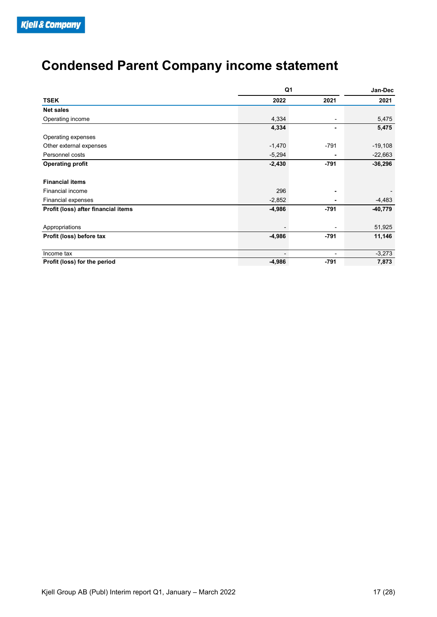## Condensed Parent Company income statement

| <b>Condensed Parent Company income statement</b> |                |                          |           |
|--------------------------------------------------|----------------|--------------------------|-----------|
|                                                  |                |                          |           |
|                                                  |                |                          |           |
|                                                  |                |                          |           |
|                                                  | Q <sub>1</sub> |                          | Jan-Dec   |
| <b>TSEK</b>                                      | 2022           | 2021                     | 2021      |
| Net sales                                        |                |                          |           |
| Operating income                                 | 4,334          | $\overline{\phantom{a}}$ | 5,475     |
|                                                  | 4,334          |                          | 5,475     |
| Operating expenses                               |                |                          |           |
| Other external expenses                          | $-1,470$       | $-791$                   | $-19,108$ |
| Personnel costs                                  | $-5,294$       |                          | $-22,663$ |
| <b>Operating profit</b>                          | $-2,430$       | $-791$                   | $-36,296$ |
|                                                  |                |                          |           |
| <b>Financial items</b>                           |                |                          |           |
| Financial income                                 | 296            | $\sim$                   |           |
| Financial expenses                               | $-2,852$       | $\sim$                   | $-4,483$  |
|                                                  |                |                          |           |
| Profit (loss) after financial items              | $-4,986$       | $-791$                   | $-40,779$ |
|                                                  |                |                          |           |
| Appropriations                                   |                |                          | 51,925    |
|                                                  | $-4,986$       | $-791$                   | 11,146    |
| Profit (loss) before tax<br>Income tax           | $\sim$         | $\sim$                   | $-3,273$  |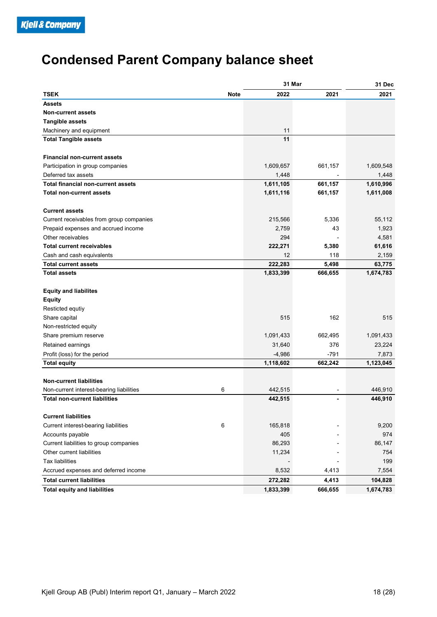## Condensed Parent Company balance sheet

| <b>Condensed Parent Company balance sheet</b> |             |                          |                          |           |
|-----------------------------------------------|-------------|--------------------------|--------------------------|-----------|
|                                               |             |                          |                          |           |
|                                               |             | 31 Mar                   |                          | 31 Dec    |
| <b>TSEK</b>                                   | <b>Note</b> | 2022                     | 2021                     | 2021      |
|                                               |             |                          |                          |           |
| <b>Assets</b>                                 |             |                          |                          |           |
| <b>Non-current assets</b>                     |             |                          |                          |           |
| <b>Tangible assets</b>                        |             |                          |                          |           |
| Machinery and equipment                       |             | 11                       |                          |           |
| <b>Total Tangible assets</b>                  |             | 11                       |                          |           |
| <b>Financial non-current assets</b>           |             |                          |                          |           |
| Participation in group companies              |             | 1,609,657                | 661,157                  | 1,609,548 |
|                                               |             |                          |                          |           |
| Deferred tax assets                           |             | 1,448                    | $\overline{a}$           | 1,448     |
| Total financial non-current assets            |             | 1,611,105                | 661,157                  | 1,610,996 |
| <b>Total non-current assets</b>               |             | 1,611,116                | 661,157                  | 1,611,008 |
| <b>Current assets</b>                         |             |                          |                          |           |
| Current receivables from group companies      |             | 215,566                  | 5,336                    | 55,112    |
| Prepaid expenses and accrued income           |             | 2,759                    | 43                       | 1,923     |
|                                               |             |                          |                          |           |
| Other receivables                             |             | 294                      | $\overline{\phantom{a}}$ | 4,581     |
| <b>Total current receivables</b>              |             | 222,271                  | 5,380                    | 61,616    |
| Cash and cash equivalents                     |             | 12                       | 118                      | 2,159     |
| <b>Total current assets</b>                   |             | 222,283                  | 5,498                    | 63,775    |
| <b>Total assets</b>                           |             | 1,833,399                | 666,655                  | 1,674,783 |
| <b>Equity and liabilites</b>                  |             |                          |                          |           |
| <b>Equity</b>                                 |             |                          |                          |           |
| Resticted equtiy                              |             |                          |                          |           |
| Share capital                                 |             | 515                      | 162                      | 515       |
|                                               |             |                          |                          |           |
| Non-restricted equity                         |             |                          |                          |           |
| Share premium reserve                         |             | 1,091,433                | 662,495                  | 1,091,433 |
| Retained earnings                             |             | 31,640                   | 376                      | 23,224    |
| Profit (loss) for the period                  |             | $-4,986$                 | $-791$                   | 7,873     |
| <b>Total equity</b>                           |             | 1,118,602                | 662,242                  | 1,123,045 |
|                                               |             |                          |                          |           |
| Non-current liabilities                       |             |                          |                          |           |
| Non-current interest-bearing liabilities      | 6           | 442,515                  | $\sim$                   | 446,910   |
| <b>Total non-current liabilities</b>          |             | 442,515                  | $\blacksquare$           | 446,910   |
| <b>Current liabilities</b>                    |             |                          |                          |           |
| Current interest-bearing liabilities          | 6           | 165,818                  | $\overline{\phantom{0}}$ | 9,200     |
| Accounts payable                              |             | 405                      | $\blacksquare$           | 974       |
| Current liabilities to group companies        |             | 86,293                   | $\blacksquare$           | 86,147    |
|                                               |             |                          |                          |           |
| Other current liabilities                     |             | 11,234                   | $\overline{\phantom{a}}$ | 754       |
| Tax liabilities                               |             | $\overline{\phantom{a}}$ | $\overline{\phantom{a}}$ | 199       |
| Accrued expenses and deferred income          |             | 8,532                    | 4,413                    | 7,554     |
| <b>Total current liabilities</b>              |             | 272,282                  | 4,413                    | 104,828   |
|                                               |             | 1,833,399                | 666,655                  | 1,674,783 |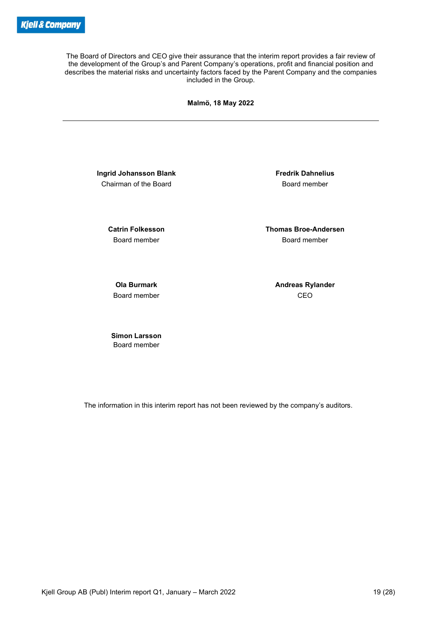The Board of Directors and CEO give their assurance that the interim report provides a fair review of the development of the Group's and Parent Company's operations, profit and financial position and describes the material risks and uncertainty factors faced by the Parent Company and the companies included in the Group.

Malmö, 18 May 2022

Ingrid Johansson Blank Fredrik Dahnelius Chairman of the Board **Board Chairman** of the Board

 Catrin Folkesson Thomas Broe-Andersen Board member Board member

Board member **CEO** 

Ola Burmark **Andreas Rylander** Andreas Rylander

Simon Larsson Board member

The information in this interim report has not been reviewed by the company's auditors.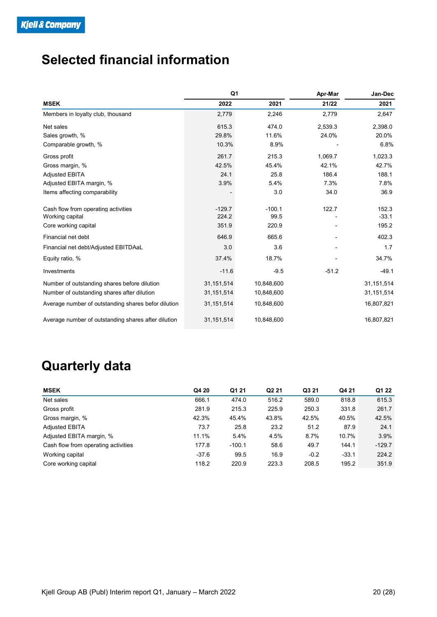## Selected financial information

| <u>k Company</u><br><b>Selected financial information</b> |                  |                          |               |                 |                          |                |
|-----------------------------------------------------------|------------------|--------------------------|---------------|-----------------|--------------------------|----------------|
|                                                           |                  |                          |               |                 |                          |                |
|                                                           |                  |                          |               |                 |                          |                |
|                                                           |                  |                          |               |                 |                          |                |
|                                                           |                  |                          |               |                 |                          |                |
|                                                           |                  |                          |               |                 |                          |                |
|                                                           |                  |                          |               |                 |                          |                |
|                                                           |                  |                          |               |                 |                          |                |
|                                                           |                  |                          |               |                 |                          |                |
|                                                           |                  |                          |               |                 |                          |                |
|                                                           |                  |                          |               |                 |                          |                |
|                                                           |                  |                          |               |                 |                          |                |
|                                                           |                  |                          |               |                 |                          |                |
|                                                           |                  |                          |               |                 |                          |                |
|                                                           |                  | Q <sub>1</sub>           |               | Apr-Mar         |                          | Jan-Dec        |
|                                                           |                  | 2022                     | 2021          |                 | 21/22                    | 2021           |
| <b>MSEK</b>                                               |                  |                          |               |                 |                          |                |
| Members in loyalty club, thousand                         |                  | 2,779                    | 2,246         |                 | 2,779                    | 2,647          |
| Net sales                                                 |                  | 615.3                    | 474.0         | 2,539.3         |                          | 2,398.0        |
| Sales growth, %                                           |                  | 29.8%                    | 11.6%         | 24.0%           |                          | 20.0%          |
| Comparable growth, %                                      |                  | 10.3%                    | 8.9%          |                 |                          | 6.8%           |
| Gross profit                                              |                  | 261.7                    | 215.3         | 1,069.7         |                          | 1,023.3        |
| Gross margin, %                                           |                  | 42.5%                    | 45.4%         | 42.1%           |                          | 42.7%          |
| Adjusted EBITA                                            |                  | 24.1                     | 25.8          |                 | 186.4                    | 188.1          |
| Adjusted EBITA margin, %                                  |                  | 3.9%                     | 5.4%          |                 | 7.3%                     | 7.8%           |
| Items affecting comparability                             |                  | $\overline{\phantom{a}}$ | 3.0           |                 | 34.0                     | 36.9           |
| Cash flow from operating activities                       |                  | $-129.7$                 | $-100.1$      |                 | 122.7                    | 152.3          |
| Working capital                                           |                  | 224.2                    | 99.5          |                 | $\overline{\phantom{a}}$ | $-33.1$        |
| Core working capital                                      |                  | 351.9                    | 220.9         |                 |                          | 195.2          |
| Financial net debt                                        |                  | 646.9                    | 665.6         |                 |                          | 402.3          |
|                                                           |                  | 3.0                      | 3.6           |                 |                          | 1.7            |
| Financial net debt/Adjusted EBITDAaL                      |                  |                          |               |                 |                          |                |
| Equity ratio, %                                           |                  | 37.4%                    | 18.7%         |                 |                          | 34.7%          |
| Investments                                               |                  | $-11.6$                  | $-9.5$        |                 | $-51.2$                  | $-49.1$        |
| Number of outstanding shares before dilution              | 31, 151, 514     |                          | 10,848,600    |                 |                          | 31,151,514     |
| Number of outstanding shares after dilution               | 31, 151, 514     |                          | 10,848,600    |                 |                          | 31,151,514     |
| Average number of outstanding shares befor dilution       | 31, 151, 514     |                          | 10,848,600    |                 |                          | 16,807,821     |
| Average number of outstanding shares after dilution       | 31, 151, 514     |                          | 10,848,600    |                 |                          | 16,807,821     |
|                                                           |                  |                          |               |                 |                          |                |
| <b>Quarterly data</b>                                     |                  |                          |               |                 |                          |                |
| <b>MSEK</b>                                               | Q4 20            | Q1 21                    | Q2 21         | Q3 21           | Q4 21                    | Q1 22          |
| Net sales                                                 | 666.1            | 474.0                    | 516.2         | 589.0           | 818.8                    | 615.3          |
| Gross profit                                              | 281.9            | 215.3                    | 225.9         | 250.3           | 331.8                    | 261.7          |
| Gross margin, %                                           | 42.3%            | 45.4%                    | 43.8%         | 42.5%           | 40.5%                    | 42.5%          |
| <b>Adjusted EBITA</b>                                     | 73.7             | 25.8                     | 23.2          | 51.2            | 87.9                     | 24.1           |
|                                                           | 11.1%            | 5.4%                     | 4.5%          | 8.7%            | 10.7%                    | 3.9%           |
| Adjusted EBITA margin, %                                  | 177.8            | $-100.1$                 | 58.6          | 49.7            | 144.1                    | $-129.7$       |
| Cash flow from operating activities                       |                  |                          |               |                 |                          |                |
| Working capital<br>Core working capital                   | $-37.6$<br>118.2 | 99.5<br>220.9            | 16.9<br>223.3 | $-0.2$<br>208.5 | $-33.1$<br>195.2         | 224.2<br>351.9 |

## Quarterly data

| Financial net debt/Adjusted EBITDAaL                |              | 3.0      | 3.6        |        | $\overline{\phantom{0}}$ | 1.7          |
|-----------------------------------------------------|--------------|----------|------------|--------|--------------------------|--------------|
| Equity ratio, %                                     |              | 37.4%    | 18.7%      |        |                          | 34.7%        |
| Investments                                         |              | $-11.6$  | $-9.5$     |        | $-51.2$                  | $-49.1$      |
| Number of outstanding shares before dilution        | 31, 151, 514 |          | 10,848,600 |        |                          | 31,151,514   |
| Number of outstanding shares after dilution         | 31, 151, 514 |          | 10,848,600 |        |                          | 31, 151, 514 |
| Average number of outstanding shares befor dilution | 31, 151, 514 |          | 10,848,600 |        |                          | 16,807,821   |
| Average number of outstanding shares after dilution | 31, 151, 514 |          | 10,848,600 |        |                          | 16,807,821   |
|                                                     |              |          |            |        |                          |              |
| <b>Quarterly data</b>                               |              |          |            |        |                          |              |
| <b>MSEK</b>                                         | Q4 20        | Q1 21    | Q2 21      | Q3 21  | Q4 21                    | Q1 22        |
| Net sales                                           | 666.1        | 474.0    | 516.2      | 589.0  | 818.8                    | 615.3        |
| Gross profit                                        | 281.9        | 215.3    | 225.9      | 250.3  | 331.8                    | 261.7        |
| Gross margin, %                                     | 42.3%        | 45.4%    | 43.8%      | 42.5%  | 40.5%                    | 42.5%        |
| Adjusted EBITA                                      | 73.7         | 25.8     | 23.2       | 51.2   | 87.9                     | 24.1         |
| Adjusted EBITA margin, %                            | 11.1%        | 5.4%     | 4.5%       | 8.7%   | 10.7%                    | 3.9%         |
| Cash flow from operating activities                 | 177.8        | $-100.1$ | 58.6       | 49.7   | 144.1                    | $-129.7$     |
| Working capital                                     | $-37.6$      | 99.5     | 16.9       | $-0.2$ | $-33.1$                  | 224.2        |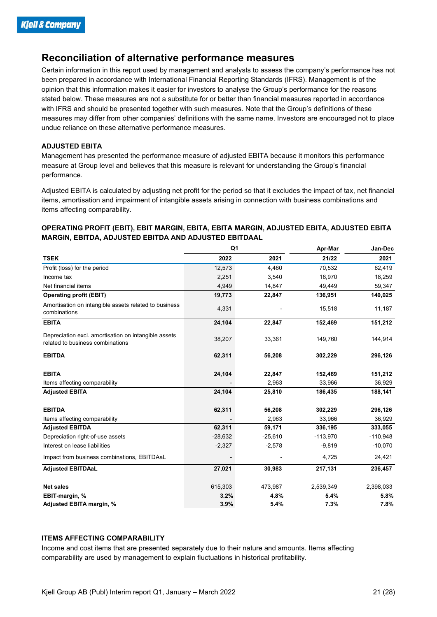### Reconciliation of alternative performance measures

#### ADJUSTED EBITA

#### OPERATING PROFIT (EBIT), EBIT MARGIN, EBITA, EBITA MARGIN, ADJUSTED EBITA, ADJUSTED EBITA MARGIN, EBITDA, ADJUSTED EBITDA AND ADJUSTED EBITDAAL

| been prepared in accordance with International Financial Reporting Standards (IFRS). Management is of the<br>opinion that this information makes it easier for investors to analyse the Group's performance for the reasons<br>stated below. These measures are not a substitute for or better than financial measures reported in accordance<br>with IFRS and should be presented together with such measures. Note that the Group's definitions of these<br>measures may differ from other companies' definitions with the same name. Investors are encouraged not to place<br>undue reliance on these alternative performance measures. |           |           |            |            |
|--------------------------------------------------------------------------------------------------------------------------------------------------------------------------------------------------------------------------------------------------------------------------------------------------------------------------------------------------------------------------------------------------------------------------------------------------------------------------------------------------------------------------------------------------------------------------------------------------------------------------------------------|-----------|-----------|------------|------------|
| <b>ADJUSTED EBITA</b>                                                                                                                                                                                                                                                                                                                                                                                                                                                                                                                                                                                                                      |           |           |            |            |
| Management has presented the performance measure of adjusted EBITA because it monitors this performance                                                                                                                                                                                                                                                                                                                                                                                                                                                                                                                                    |           |           |            |            |
| measure at Group level and believes that this measure is relevant for understanding the Group's financial<br>performance.                                                                                                                                                                                                                                                                                                                                                                                                                                                                                                                  |           |           |            |            |
| Adjusted EBITA is calculated by adjusting net profit for the period so that it excludes the impact of tax, net financial                                                                                                                                                                                                                                                                                                                                                                                                                                                                                                                   |           |           |            |            |
| items, amortisation and impairment of intangible assets arising in connection with business combinations and<br>items affecting comparability.                                                                                                                                                                                                                                                                                                                                                                                                                                                                                             |           |           |            |            |
| OPERATING PROFIT (EBIT), EBIT MARGIN, EBITA, EBITA MARGIN, ADJUSTED EBITA, ADJUSTED EBITA<br>MARGIN, EBITDA, ADJUSTED EBITDA AND ADJUSTED EBITDAAL                                                                                                                                                                                                                                                                                                                                                                                                                                                                                         |           |           |            |            |
|                                                                                                                                                                                                                                                                                                                                                                                                                                                                                                                                                                                                                                            | Q1        |           | Apr-Mar    | Jan-Dec    |
| <b>TSEK</b>                                                                                                                                                                                                                                                                                                                                                                                                                                                                                                                                                                                                                                | 2022      | 2021      | 21/22      | 2021       |
| Profit (loss) for the period                                                                                                                                                                                                                                                                                                                                                                                                                                                                                                                                                                                                               | 12,573    | 4,460     | 70,532     | 62,419     |
| Income tax                                                                                                                                                                                                                                                                                                                                                                                                                                                                                                                                                                                                                                 | 2,251     | 3,540     | 16,970     | 18,259     |
| Net financial items                                                                                                                                                                                                                                                                                                                                                                                                                                                                                                                                                                                                                        | 4,949     | 14,847    | 49,449     | 59,347     |
| <b>Operating profit (EBIT)</b>                                                                                                                                                                                                                                                                                                                                                                                                                                                                                                                                                                                                             | 19,773    | 22,847    | 136,951    | 140,025    |
| Amortisation on intangible assets related to business<br>combinations                                                                                                                                                                                                                                                                                                                                                                                                                                                                                                                                                                      | 4,331     |           | 15,518     | 11,187     |
| <b>EBITA</b>                                                                                                                                                                                                                                                                                                                                                                                                                                                                                                                                                                                                                               | 24,104    | 22,847    | 152,469    | 151,212    |
| Depreciation excl. amortisation on intangible assets<br>related to business combinations                                                                                                                                                                                                                                                                                                                                                                                                                                                                                                                                                   | 38,207    | 33,361    | 149,760    | 144,914    |
| <b>EBITDA</b>                                                                                                                                                                                                                                                                                                                                                                                                                                                                                                                                                                                                                              | 62,311    | 56,208    | 302,229    | 296,126    |
| <b>EBITA</b>                                                                                                                                                                                                                                                                                                                                                                                                                                                                                                                                                                                                                               | 24,104    | 22,847    | 152,469    | 151,212    |
| Items affecting comparability                                                                                                                                                                                                                                                                                                                                                                                                                                                                                                                                                                                                              |           | 2,963     | 33,966     | 36,929     |
| <b>Adjusted EBITA</b>                                                                                                                                                                                                                                                                                                                                                                                                                                                                                                                                                                                                                      | 24,104    | 25,810    | 186,435    | 188,141    |
| <b>EBITDA</b>                                                                                                                                                                                                                                                                                                                                                                                                                                                                                                                                                                                                                              | 62,311    | 56,208    | 302,229    | 296,126    |
| Items affecting comparability                                                                                                                                                                                                                                                                                                                                                                                                                                                                                                                                                                                                              |           | 2,963     | 33,966     | 36,929     |
| <b>Adjusted EBITDA</b>                                                                                                                                                                                                                                                                                                                                                                                                                                                                                                                                                                                                                     | 62,311    | 59,171    | 336,195    | 333,055    |
| Depreciation right-of-use assets                                                                                                                                                                                                                                                                                                                                                                                                                                                                                                                                                                                                           | $-28,632$ | $-25,610$ | $-113,970$ | $-110,948$ |
| Interest on lease liabilities                                                                                                                                                                                                                                                                                                                                                                                                                                                                                                                                                                                                              | $-2,327$  | $-2,578$  | $-9,819$   | $-10,070$  |
| Impact from business combinations, EBITDAaL                                                                                                                                                                                                                                                                                                                                                                                                                                                                                                                                                                                                |           |           | 4,725      | 24,421     |
| <b>Adjusted EBITDAaL</b>                                                                                                                                                                                                                                                                                                                                                                                                                                                                                                                                                                                                                   | 27,021    | 30,983    | 217,131    | 236,457    |
|                                                                                                                                                                                                                                                                                                                                                                                                                                                                                                                                                                                                                                            |           |           | 2,539,349  | 2,398,033  |
| <b>Net sales</b>                                                                                                                                                                                                                                                                                                                                                                                                                                                                                                                                                                                                                           | 615,303   | 473,987   |            |            |
| EBIT-margin, %                                                                                                                                                                                                                                                                                                                                                                                                                                                                                                                                                                                                                             | 3.2%      | 4.8%      | 5.4%       | 5.8%       |

#### ITEMS AFFECTING COMPARABILITY

Income and cost items that are presented separately due to their nature and amounts. Items affecting comparability are used by management to explain fluctuations in historical profitability.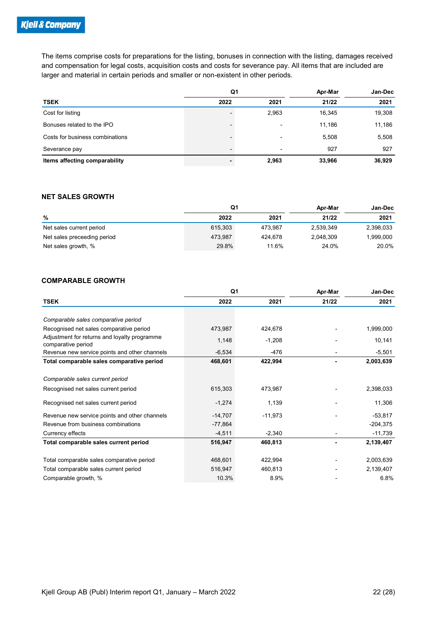| <b>&amp; Company</b>                                                                                                |                          |         |           |           |
|---------------------------------------------------------------------------------------------------------------------|--------------------------|---------|-----------|-----------|
|                                                                                                                     |                          |         |           |           |
|                                                                                                                     |                          |         |           |           |
| The items comprise costs for preparations for the listing, bonuses in connection with the listing, damages received |                          |         |           |           |
| and compensation for legal costs, acquisition costs and costs for severance pay. All items that are included are    |                          |         |           |           |
| larger and material in certain periods and smaller or non-existent in other periods.                                |                          |         |           |           |
|                                                                                                                     |                          |         |           |           |
|                                                                                                                     | Q <sub>1</sub>           |         | Apr-Mar   | Jan-Dec   |
| <b>TSEK</b>                                                                                                         | 2022                     | 2021    | 21/22     | 2021      |
| Cost for listing                                                                                                    | $\overline{a}$           | 2,963   | 16,345    | 19,308    |
| Bonuses related to the IPO                                                                                          | $\overline{a}$           |         | 11,186    | 11,186    |
| Costs for business combinations                                                                                     | $\overline{\phantom{0}}$ |         | 5,508     | 5,508     |
| Severance pay                                                                                                       | $\overline{\phantom{a}}$ |         | 927       | 927       |
| Items affecting comparability                                                                                       | $\blacksquare$           | 2,963   | 33,966    | 36,929    |
|                                                                                                                     |                          |         |           |           |
| <b>NET SALES GROWTH</b>                                                                                             |                          |         |           |           |
|                                                                                                                     | Q <sub>1</sub>           |         | Apr-Mar   | Jan-Dec   |
| $\%$                                                                                                                | 2022                     | 2021    | 21/22     | 2021      |
| Net sales current period                                                                                            | 615,303                  | 473,987 | 2,539,349 | 2,398,033 |
| Net sales preceeding period                                                                                         | 473,987                  | 424,678 | 2,048,309 | 1,999,000 |
| Net sales growth, %                                                                                                 | 29.8%                    | 11.6%   | 24.0%     | 20.0%     |
|                                                                                                                     |                          |         |           |           |
| <b>COMPARABLE GROWTH</b>                                                                                            |                          |         |           |           |
|                                                                                                                     |                          |         |           |           |

#### NET SALES GROWTH

|                             | Q <sub>1</sub> |         | Apr-Mar   | Jan-Dec   |
|-----------------------------|----------------|---------|-----------|-----------|
| %                           | 2022           | 2021    | 21/22     | 2021      |
| Net sales current period    | 615,303        | 473.987 | 2,539,349 | 2,398,033 |
| Net sales preceeding period | 473,987        | 424.678 | 2,048,309 | !999,000  |
| Net sales growth, %         | 29.8%          | 11.6%   | 24.0%     | 20.0%     |

#### COMPARABLE GROWTH

| Cost for listing                                                   | $\overline{\phantom{a}}$ | 2,963     | 16,345    | 19,308     |
|--------------------------------------------------------------------|--------------------------|-----------|-----------|------------|
| Bonuses related to the IPO                                         |                          |           | 11,186    | 11,186     |
| Costs for business combinations                                    | $\overline{\phantom{a}}$ | -         | 5,508     | 5,508      |
| Severance pay                                                      | $\overline{\phantom{a}}$ |           | 927       | 927        |
| Items affecting comparability                                      | ÷.                       | 2,963     | 33,966    | 36,929     |
|                                                                    |                          |           |           |            |
| <b>NET SALES GROWTH</b>                                            |                          |           |           |            |
|                                                                    | Q1                       |           | Apr-Mar   | Jan-Dec    |
| %                                                                  | 2022                     | 2021      | 21/22     | 2021       |
| Net sales current period                                           | 615,303                  | 473,987   | 2,539,349 | 2,398,033  |
| Net sales preceeding period                                        | 473,987                  | 424,678   | 2,048,309 | 1,999,000  |
| Net sales growth, %                                                | 29.8%                    | 11.6%     | 24.0%     | 20.0%      |
|                                                                    |                          |           |           |            |
|                                                                    |                          |           |           |            |
| <b>COMPARABLE GROWTH</b>                                           |                          |           |           |            |
|                                                                    |                          |           |           |            |
|                                                                    | Q <sub>1</sub>           |           | Apr-Mar   | Jan-Dec    |
| <b>TSEK</b>                                                        | 2022                     | 2021      | 21/22     | 2021       |
|                                                                    |                          |           |           |            |
| Comparable sales comparative period                                |                          |           |           |            |
| Recognised net sales comparative period                            | 473,987                  | 424,678   |           | 1,999,000  |
| Adjustment for returns and loyalty programme<br>comparative period | 1,148                    | $-1,208$  |           | 10,141     |
| Revenue new service points and other channels                      | $-6,534$                 | $-476$    |           | $-5,501$   |
| Total comparable sales comparative period                          | 468,601                  | 422,994   |           | 2,003,639  |
| Comparable sales current period                                    |                          |           |           |            |
| Recognised net sales current period                                | 615,303                  | 473,987   |           | 2,398,033  |
|                                                                    |                          |           |           |            |
| Recognised net sales current period                                | $-1,274$                 | 1,139     |           | 11,306     |
| Revenue new service points and other channels                      | $-14,707$                | $-11,973$ |           | $-53,817$  |
| Revenue from business combinations                                 | $-77,864$                |           |           | $-204,375$ |
| Currency effects                                                   | $-4,511$                 | $-2,340$  |           | $-11,739$  |
| Total comparable sales current period                              | 516,947                  | 460,813   |           | 2,139,407  |
| Total comparable sales comparative period                          | 468,601                  | 422,994   |           | 2,003,639  |
| Total comparable sales current period                              | 516,947                  | 460,813   |           | 2,139,407  |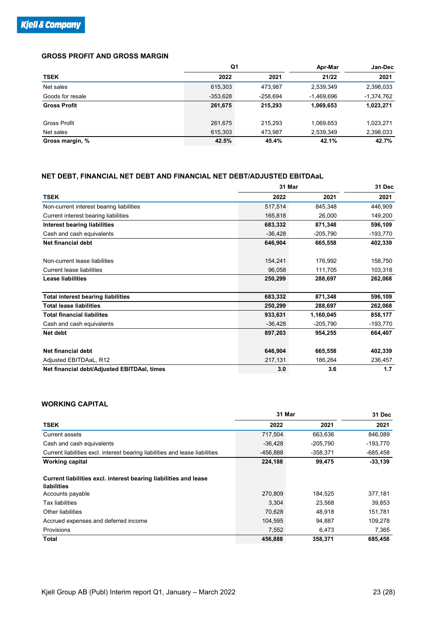#### GROSS PROFIT AND GROSS MARGIN

| <u> R Company</u>                                                     |            |            |              |              |
|-----------------------------------------------------------------------|------------|------------|--------------|--------------|
|                                                                       |            |            |              |              |
|                                                                       |            |            |              |              |
|                                                                       |            |            |              |              |
| <b>GROSS PROFIT AND GROSS MARGIN</b>                                  |            |            |              |              |
|                                                                       | Q1         |            | Apr-Mar      | Jan-Dec      |
| <b>TSEK</b>                                                           | 2022       | 2021       | 21/22        | 2021         |
| Net sales                                                             | 615,303    | 473,987    | 2,539,349    | 2,398,033    |
| Goods for resale                                                      | $-353,628$ | $-258,694$ | $-1,469,696$ | $-1,374,762$ |
| <b>Gross Profit</b>                                                   | 261,675    | 215,293    | 1,069,653    | 1,023,271    |
|                                                                       |            |            |              |              |
| Gross Profit                                                          | 261,675    | 215,293    | 1,069,653    | 1,023,271    |
| Net sales                                                             | 615,303    | 473,987    | 2,539,349    | 2,398,033    |
| Gross margin, %                                                       | 42.5%      | 45.4%      | 42.1%        | 42.7%        |
|                                                                       |            |            |              |              |
|                                                                       |            |            |              |              |
|                                                                       |            |            |              |              |
| NET DEBT, FINANCIAL NET DEBT AND FINANCIAL NET DEBT/ADJUSTED EBITDAaL |            |            |              |              |
|                                                                       |            | 31 Mar     |              | 31 Dec       |
| <b>TSEK</b>                                                           |            | 2022       | 2021         | 2021         |
| Non-current interest bearing liabilities                              |            | 517,514    | 845,348      | 446,909      |
| Current interest bearing liabilities                                  |            | 165,818    | 26,000       | 149,200      |
| <b>Interest bearing liabilities</b>                                   |            | 683,332    | 871,348      | 596,109      |
| Cash and cash equivalents                                             |            | $-36,428$  | $-205,790$   | $-193,770$   |
| Net financial debt                                                    |            | 646,904    | 665,558      | 402,339      |
|                                                                       |            |            |              |              |
| Non-current lease liabilities                                         |            | 154.241    | 176.992      | 158.750      |

#### NET DEBT, FINANCIAL NET DEBT AND FINANCIAL NET DEBT/ADJUSTED EBITDAaL

| <b>GROSS PROFIT AND GROSS MARGIN</b>                                            | Q1         |            |              |              |
|---------------------------------------------------------------------------------|------------|------------|--------------|--------------|
|                                                                                 |            |            | Apr-Mar      | Jan-Dec      |
| <b>TSEK</b>                                                                     | 2022       | 2021       | 21/22        | 2021         |
| Net sales                                                                       | 615,303    | 473,987    | 2,539,349    | 2,398,033    |
| Goods for resale                                                                | $-353,628$ | $-258,694$ | $-1,469,696$ | $-1,374,762$ |
| <b>Gross Profit</b>                                                             | 261,675    | 215,293    | 1,069,653    | 1,023,271    |
| Gross Profit                                                                    | 261,675    | 215,293    | 1,069,653    | 1,023,271    |
| Net sales                                                                       | 615,303    | 473,987    | 2,539,349    | 2,398,033    |
| Gross margin, %                                                                 | 42.5%      | 45.4%      | 42.1%        | 42.7%        |
| NET DEBT, FINANCIAL NET DEBT AND FINANCIAL NET DEBT/ADJUSTED EBITDAaL           |            |            |              |              |
|                                                                                 |            | 31 Mar     |              | 31 Dec       |
| <b>TSEK</b>                                                                     |            | 2022       | 2021         | 2021         |
| Non-current interest bearing liabilities                                        |            | 517,514    | 845,348      | 446,909      |
| Current interest bearing liabilities                                            |            | 165,818    | 26,000       | 149,200      |
| <b>Interest bearing liabilities</b>                                             |            | 683,332    | 871,348      | 596,109      |
| Cash and cash equivalents                                                       |            | $-36,428$  | $-205,790$   | $-193,770$   |
| Net financial debt                                                              |            | 646,904    | 665,558      | 402,339      |
| Non-current lease liabilities                                                   |            | 154,241    | 176,992      | 158,750      |
| <b>Current lease liabilities</b>                                                |            | 96,058     | 111,705      | 103,318      |
| <b>Lease liabilities</b>                                                        |            | 250,299    | 288,697      | 262,068      |
| <b>Total interest bearing liabilities</b>                                       |            | 683,332    | 871,348      | 596,109      |
| <b>Total lease liabilities</b>                                                  |            | 250,299    | 288,697      | 262,068      |
| <b>Total financial liabilites</b>                                               |            | 933,631    | 1,160,045    | 858,177      |
| Cash and cash equivalents                                                       |            | $-36,428$  | $-205,790$   | $-193,770$   |
| Net debt                                                                        |            | 897,203    | 954,255      | 664,407      |
| <b>Net financial debt</b>                                                       |            | 646,904    | 665,558      | 402,339      |
| Adjusted EBITDAaL, R12                                                          |            | 217,131    | 186,264      | 236,457      |
| Net financial debt/Adjusted EBITDAal, times                                     |            | 3.0        | 3.6          | $1.7$        |
|                                                                                 |            |            |              |              |
| <b>WORKING CAPITAL</b>                                                          |            |            |              |              |
|                                                                                 |            | 31 Mar     |              | 31 Dec       |
| <b>TSEK</b>                                                                     |            | 2022       | 2021         | 2021         |
| Current assets                                                                  |            | 717,504    | 663,636      | 846,089      |
| Cash and cash equivalents                                                       |            | $-36,428$  | $-205,790$   | $-193,770$   |
| Current liabilities excl. interest bearing liabilities and lease liabilities    |            | -456,888   | $-358,371$   | $-685,458$   |
| <b>Working capital</b>                                                          |            | 224,188    | 99,475       | $-33,139$    |
| Current liabilities excl. interest bearing liabilities and lease<br>liabilities |            |            |              |              |
| Accounts payable                                                                |            | 270,809    | 184,525      | 377,181      |
| <b>Tax liabilities</b>                                                          |            | 3,304      | 23,568       | 39,853       |
|                                                                                 |            |            |              |              |

#### WORKING CAPITAL

| <b>Total lease liabilities</b>                                               | 250,299   | 288,697    | 262,068    |
|------------------------------------------------------------------------------|-----------|------------|------------|
| <b>Total financial liabilites</b>                                            | 933,631   | 1,160,045  | 858,177    |
| Cash and cash equivalents                                                    | $-36,428$ | $-205,790$ | $-193,770$ |
| Net debt                                                                     | 897,203   | 954,255    | 664,407    |
| Net financial debt                                                           | 646,904   | 665,558    | 402,339    |
| Adjusted EBITDAaL, R12                                                       | 217,131   | 186,264    | 236,457    |
| Net financial debt/Adjusted EBITDAal, times                                  | 3.0       | 3.6        | $1.7$      |
| <b>WORKING CAPITAL</b>                                                       |           |            |            |
|                                                                              | 31 Mar    |            | 31 Dec     |
| <b>TSEK</b>                                                                  | 2022      | 2021       | 2021       |
| <b>Current assets</b>                                                        | 717,504   | 663,636    | 846,089    |
| Cash and cash equivalents                                                    | $-36,428$ | $-205,790$ | $-193,770$ |
| Current liabilities excl. interest bearing liabilities and lease liabilities | -456,888  | $-358,371$ | $-685,458$ |
| <b>Working capital</b>                                                       | 224,188   | 99,475     | $-33,139$  |
| Current liabilities excl. interest bearing liabilities and lease             |           |            |            |
| liabilities                                                                  |           |            |            |
| Accounts payable                                                             | 270,809   | 184,525    | 377,181    |
| <b>Tax liabilities</b>                                                       | 3,304     | 23,568     | 39,853     |
| Other liabilities                                                            | 70,628    | 48,918     | 151,781    |
|                                                                              |           | 94,887     | 109,278    |
| Accrued expenses and deferred income                                         | 104,595   |            |            |
| Provisions                                                                   | 7,552     | 6,473      | 7,365      |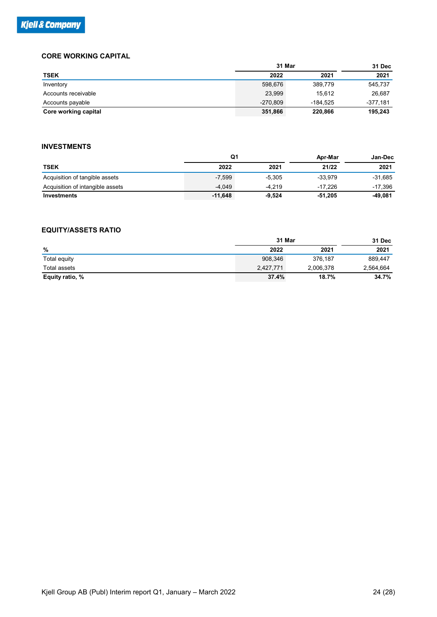#### CORE WORKING CAPITAL

| & Company                        |                |            |            |            |
|----------------------------------|----------------|------------|------------|------------|
|                                  |                |            |            |            |
|                                  |                |            |            |            |
|                                  |                |            |            |            |
|                                  |                |            |            |            |
|                                  |                |            |            |            |
|                                  |                |            |            |            |
|                                  |                |            |            |            |
|                                  |                |            |            |            |
|                                  |                |            |            |            |
|                                  |                |            |            |            |
|                                  |                |            |            |            |
|                                  |                |            |            |            |
|                                  |                |            |            |            |
| <b>CORE WORKING CAPITAL</b>      |                |            |            |            |
|                                  |                | 31 Mar     |            | 31 Dec     |
| <b>TSEK</b>                      |                | 2022       | 2021       | 2021       |
| Inventory                        |                | 598,676    | 389,779    | 545,737    |
| Accounts receivable              |                | 23,999     | 15,612     | 26,687     |
| Accounts payable                 |                | $-270,809$ | $-184,525$ | $-377,181$ |
| Core working capital             |                | 351,866    | 220,866    | 195,243    |
|                                  |                |            |            |            |
|                                  |                |            |            |            |
| <b>INVESTMENTS</b>               |                |            |            |            |
|                                  | Q <sub>1</sub> |            | Apr-Mar    | Jan-Dec    |
| <b>TSEK</b>                      | 2022           | 2021       | 21/22      | 2021       |
| Acquisition of tangible assets   | $-7,599$       | $-5,305$   | $-33,979$  | $-31,685$  |
| Acquisition of intangible assets | $-4,049$       | $-4,219$   | $-17,226$  | $-17,396$  |
| Investments                      | $-11,648$      | $-9,524$   | $-51,205$  | $-49,081$  |
|                                  |                |            |            |            |
|                                  |                |            |            |            |
| <b>EQUITY/ASSETS RATIO</b>       |                |            |            |            |
|                                  |                | 31 Mar     |            |            |
|                                  |                |            |            | 31 Dec     |
| $\%$                             |                | 2022       | 2021       | 2021       |
| Total equity                     |                | 908,346    | 376,187    | 889,447    |
| <b>Total assets</b>              |                | 2,427,771  | 2,006,378  | 2,564,664  |
| Equity ratio, %                  |                | 37.4%      | 18.7%      | 34.7%      |

#### INVESTMENTS

| 19EN                             |                | ZUZZ       | ZUZT       | ZUZT       |
|----------------------------------|----------------|------------|------------|------------|
| Inventory                        |                | 598,676    | 389,779    | 545,737    |
| Accounts receivable              |                | 23,999     | 15,612     | 26,687     |
| Accounts payable                 |                | $-270,809$ | $-184,525$ | $-377,181$ |
| Core working capital             |                | 351,866    | 220,866    | 195,243    |
| <b>INVESTMENTS</b>               |                |            |            |            |
|                                  | Q <sub>1</sub> |            | Apr-Mar    | Jan-Dec    |
| <b>TSEK</b>                      | 2022           | 2021       | 21/22      | 2021       |
| Acquisition of tangible assets   | $-7,599$       | $-5,305$   | $-33,979$  | $-31,685$  |
| Acquisition of intangible assets | $-4,049$       | $-4,219$   | $-17,226$  | $-17,396$  |
| Investments                      | $-11,648$      | $-9,524$   | $-51,205$  | $-49,081$  |
|                                  |                |            |            |            |
| <b>EQUITY/ASSETS RATIO</b>       |                |            |            |            |
|                                  |                | 31 Mar     |            | 31 Dec     |
| $\%$                             |                | 2022       | 2021       | 2021       |
|                                  |                | 908,346    | 376,187    | 889,447    |
| Total equity                     |                |            |            |            |
| Total assets                     |                | 2,427,771  | 2,006,378  | 2,564,664  |
| Equity ratio, %                  |                | 37.4%      | 18.7%      | 34.7%      |

#### EQUITY/ASSETS RATIO

|                 | 31 Mar       |           |           |  |  |
|-----------------|--------------|-----------|-----------|--|--|
| %               | 2022<br>2021 |           | 2021      |  |  |
| Total equity    | 908,346      | 376,187   | 889,447   |  |  |
| Total assets    | 2,427,771    | 2,006,378 | 2,564,664 |  |  |
| Equity ratio, % | 37.4%        | 18.7%     | 34.7%     |  |  |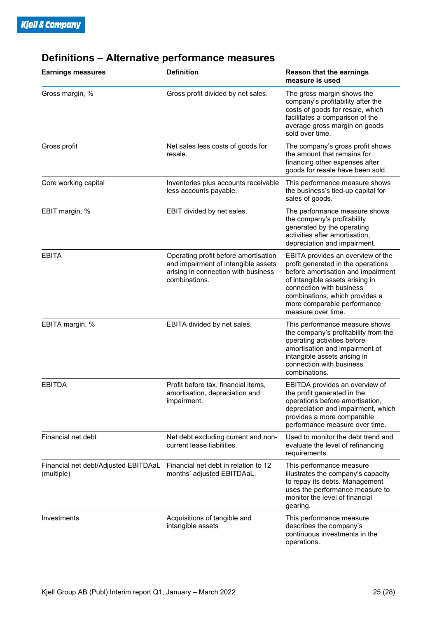| <b>Earnings measures</b>                           | <b>Definition</b>                                                                                                                   | <b>Reason that the earnings</b><br>measure is used                                                                                                                                                                                                                  |
|----------------------------------------------------|-------------------------------------------------------------------------------------------------------------------------------------|---------------------------------------------------------------------------------------------------------------------------------------------------------------------------------------------------------------------------------------------------------------------|
| Gross margin, %                                    | Gross profit divided by net sales.                                                                                                  | The gross margin shows the<br>company's profitability after the<br>costs of goods for resale, which<br>facilitates a comparison of the<br>average gross margin on goods<br>sold over time.                                                                          |
| Gross profit                                       | Net sales less costs of goods for<br>resale.                                                                                        | The company's gross profit shows<br>the amount that remains for<br>financing other expenses after<br>goods for resale have been sold.                                                                                                                               |
| Core working capital                               | Inventories plus accounts receivable<br>less accounts payable.                                                                      |                                                                                                                                                                                                                                                                     |
| EBIT margin, %                                     | EBIT divided by net sales.                                                                                                          | The performance measure shows<br>the company's profitability<br>generated by the operating<br>activities after amortisation,<br>depreciation and impairment.                                                                                                        |
| <b>EBITA</b>                                       | Operating profit before amortisation<br>and impairment of intangible assets<br>arising in connection with business<br>combinations. | EBITA provides an overview of the<br>profit generated in the operations<br>before amortisation and impairment<br>of intangible assets arising in<br>connection with business<br>combinations, which provides a<br>more comparable performance<br>measure over time. |
| EBITA margin, %                                    | EBITA divided by net sales.                                                                                                         | This performance measure shows<br>the company's profitability from the<br>operating activities before<br>amortisation and impairment of<br>intangible assets arising in<br>connection with business<br>combinations.                                                |
| <b>EBITDA</b>                                      | Profit before tax, financial items,<br>amortisation, depreciation and<br>impairment.                                                | EBITDA provides an overview of<br>the profit generated in the<br>operations before amortisation,<br>depreciation and impairment, which<br>provides a more comparable<br>performance measure over time.                                                              |
| Financial net debt                                 | Net debt excluding current and non-<br>current lease liabilities.                                                                   | Used to monitor the debt trend and<br>evaluate the level of refinancing<br>requirements.                                                                                                                                                                            |
| Financial net debt/Adjusted EBITDAaL<br>(multiple) | Financial net debt in relation to 12<br>months' adjusted EBITDAaL.                                                                  | This performance measure<br>illustrates the company's capacity<br>to repay its debts. Management<br>uses the performance measure to<br>monitor the level of financial<br>gearing.                                                                                   |
| Investments                                        | Acquisitions of tangible and<br>intangible assets                                                                                   | This performance measure<br>describes the company's<br>continuous investments in the<br>operations.                                                                                                                                                                 |

## Definitions – Alternative performance measures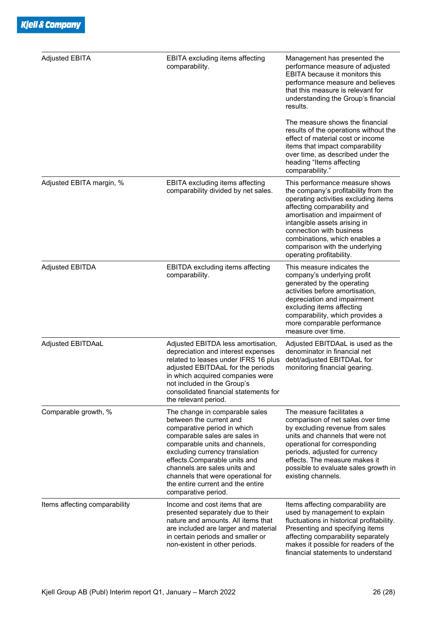| <b>Adjusted EBITA</b>         | <b>EBITA excluding items affecting</b><br>comparability.                                                                                                                                                                                                                                                                                                        | Management has presented the<br>performance measure of adjusted<br><b>EBITA</b> because it monitors this<br>performance measure and believes<br>that this measure is relevant for<br>understanding the Group's financial<br>results.                                                                                                       |
|-------------------------------|-----------------------------------------------------------------------------------------------------------------------------------------------------------------------------------------------------------------------------------------------------------------------------------------------------------------------------------------------------------------|--------------------------------------------------------------------------------------------------------------------------------------------------------------------------------------------------------------------------------------------------------------------------------------------------------------------------------------------|
|                               |                                                                                                                                                                                                                                                                                                                                                                 | The measure shows the financial<br>results of the operations without the<br>effect of material cost or income<br>items that impact comparability<br>over time, as described under the<br>heading "Items affecting<br>comparability."                                                                                                       |
| Adjusted EBITA margin, %      | EBITA excluding items affecting<br>comparability divided by net sales.                                                                                                                                                                                                                                                                                          | This performance measure shows<br>the company's profitability from the<br>operating activities excluding items<br>affecting comparability and<br>amortisation and impairment of<br>intangible assets arising in<br>connection with business<br>combinations, which enables a<br>comparison with the underlying<br>operating profitability. |
| <b>Adjusted EBITDA</b>        | EBITDA excluding items affecting<br>comparability.                                                                                                                                                                                                                                                                                                              | This measure indicates the<br>company's underlying profit<br>generated by the operating<br>activities before amortisation,<br>depreciation and impairment<br>excluding items affecting<br>comparability, which provides a<br>more comparable performance<br>measure over time.                                                             |
| Adjusted EBITDAaL             | Adjusted EBITDA less amortisation,<br>depreciation and interest expenses<br>related to leases under IFRS 16 plus<br>adjusted EBITDAaL for the periods<br>in which acquired companies were<br>not included in the Group's<br>consolidated financial statements for<br>the relevant period.                                                                       | Adjusted EBITDAaL is used as the<br>denominator in financial net<br>debt/adjusted EBITDAaL for<br>monitoring financial gearing.                                                                                                                                                                                                            |
| Comparable growth, %          | The change in comparable sales<br>between the current and<br>comparative period in which<br>comparable sales are sales in<br>comparable units and channels,<br>excluding currency translation<br>effects.Comparable units and<br>channels are sales units and<br>channels that were operational for<br>the entire current and the entire<br>comparative period. | The measure facilitates a<br>comparison of net sales over time<br>by excluding revenue from sales<br>units and channels that were not<br>operational for corresponding<br>periods, adjusted for currency<br>effects. The measure makes it<br>possible to evaluate sales growth in<br>existing channels.                                    |
| Items affecting comparability | Income and cost items that are<br>presented separately due to their<br>nature and amounts. All items that<br>are included are larger and material<br>in certain periods and smaller or<br>non-existent in other periods.                                                                                                                                        | Items affecting comparability are<br>used by management to explain<br>fluctuations in historical profitability.<br>Presenting and specifying items<br>affecting comparability separately<br>makes it possible for readers of the<br>financial statements to understand                                                                     |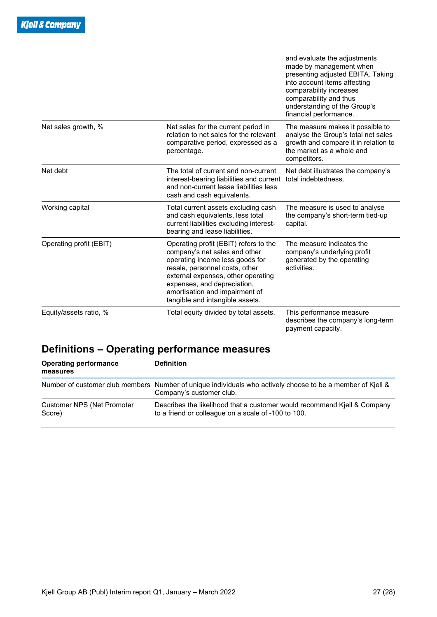|                         |                                                                                                                                                                                                                                                                                       | and evaluate the adjustments<br>made by management when<br>presenting adjusted EBITA. Taking<br>into account items affecting<br>comparability increases<br>comparability and thus<br>understanding of the Group's<br>financial performance. |
|-------------------------|---------------------------------------------------------------------------------------------------------------------------------------------------------------------------------------------------------------------------------------------------------------------------------------|---------------------------------------------------------------------------------------------------------------------------------------------------------------------------------------------------------------------------------------------|
| Net sales growth, %     | Net sales for the current period in<br>relation to net sales for the relevant<br>comparative period, expressed as a<br>percentage.                                                                                                                                                    | The measure makes it possible to<br>analyse the Group's total net sales<br>growth and compare it in relation to<br>the market as a whole and<br>competitors.                                                                                |
| Net debt                | The total of current and non-current<br>interest-bearing liabilities and current<br>and non-current lease liabilities less<br>cash and cash equivalents.                                                                                                                              | Net debt illustrates the company's<br>total indebtedness.                                                                                                                                                                                   |
| Working capital         | Total current assets excluding cash<br>and cash equivalents, less total<br>current liabilities excluding interest-<br>bearing and lease liabilities.                                                                                                                                  | The measure is used to analyse<br>the company's short-term tied-up<br>capital.                                                                                                                                                              |
| Operating profit (EBIT) | Operating profit (EBIT) refers to the<br>company's net sales and other<br>operating income less goods for<br>resale, personnel costs, other<br>external expenses, other operating<br>expenses, and depreciation,<br>amortisation and impairment of<br>tangible and intangible assets. | The measure indicates the<br>company's underlying profit<br>generated by the operating<br>activities.                                                                                                                                       |
| Equity/assets ratio, %  | Total equity divided by total assets.                                                                                                                                                                                                                                                 | This performance measure<br>describes the company's long-term<br>payment capacity.                                                                                                                                                          |

## Definitions – Operating performance measures

| <b>Operating performance</b><br>measures | <b>Definition</b>                                                                                                                      |
|------------------------------------------|----------------------------------------------------------------------------------------------------------------------------------------|
|                                          | Number of customer club members Number of unique individuals who actively choose to be a member of Kjell &<br>Company's customer club. |
| Customer NPS (Net Promoter<br>Score)     | Describes the likelihood that a customer would recommend Kjell & Company<br>to a friend or colleague on a scale of -100 to 100.        |